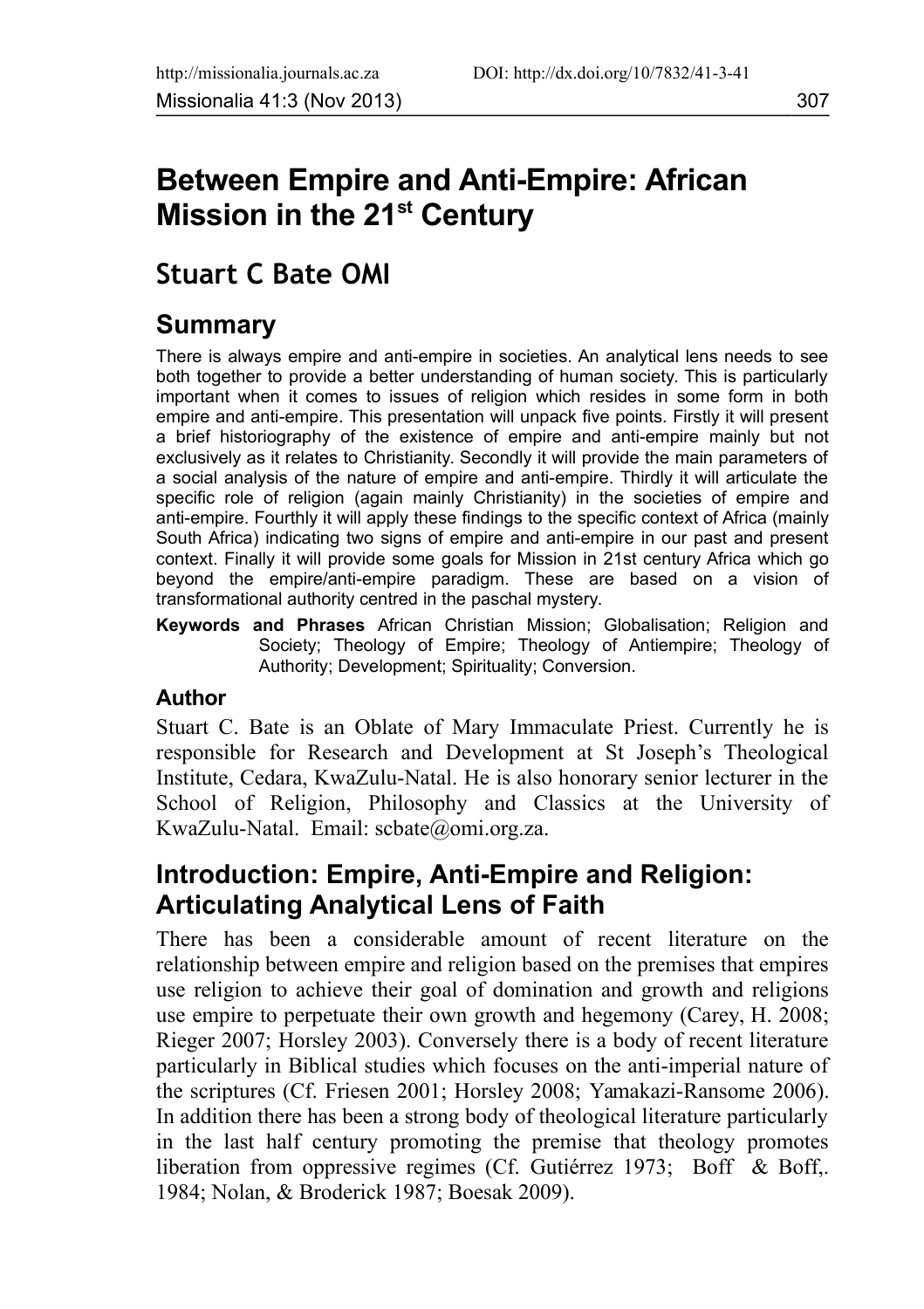# **Between Empire and Anti-Empire: African Mission in the 21st Century**

# **Stuart C Bate OMI**

## **Summary**

There is always empire and anti-empire in societies. An analytical lens needs to see both together to provide a better understanding of human society. This is particularly important when it comes to issues of religion which resides in some form in both empire and anti-empire. This presentation will unpack five points. Firstly it will present a brief historiography of the existence of empire and anti-empire mainly but not exclusively as it relates to Christianity. Secondly it will provide the main parameters of a social analysis of the nature of empire and anti-empire. Thirdly it will articulate the specific role of religion (again mainly Christianity) in the societies of empire and anti-empire. Fourthly it will apply these findings to the specific context of Africa (mainly South Africa) indicating two signs of empire and anti-empire in our past and present context. Finally it will provide some goals for Mission in 21st century Africa which go beyond the empire/anti-empire paradigm. These are based on a vision of transformational authority centred in the paschal mystery.

**Keywords and Phrases** African Christian Mission; Globalisation; Religion and Society; Theology of Empire; Theology of Antiempire; Theology of Authority; Development; Spirituality; Conversion.

#### **Author**

Stuart C. Bate is an Oblate of Mary Immaculate Priest. Currently he is responsible for Research and Development at St Joseph's Theological Institute, Cedara, KwaZulu-Natal. He is also honorary senior lecturer in the School of Religion, Philosophy and Classics at the University of KwaZulu-Natal. Email: scbate@omi.org.za.

## **Introduction: Empire, Anti-Empire and Religion: Articulating Analytical Lens of Faith**

There has been a considerable amount of recent literature on the relationship between empire and religion based on the premises that empires use religion to achieve their goal of domination and growth and religions use empire to perpetuate their own growth and hegemony (Carey, H. 2008; Rieger 2007; Horsley 2003). Conversely there is a body of recent literature particularly in Biblical studies which focuses on the anti-imperial nature of the scriptures (Cf. Friesen 2001; Horsley 2008; Yamakazi-Ransome 2006). In addition there has been a strong body of theological literature particularly in the last half century promoting the premise that theology promotes liberation from oppressive regimes (Cf. Gutiérrez 1973; Boff & Boff,. 1984; Nolan, & Broderick 1987; Boesak 2009).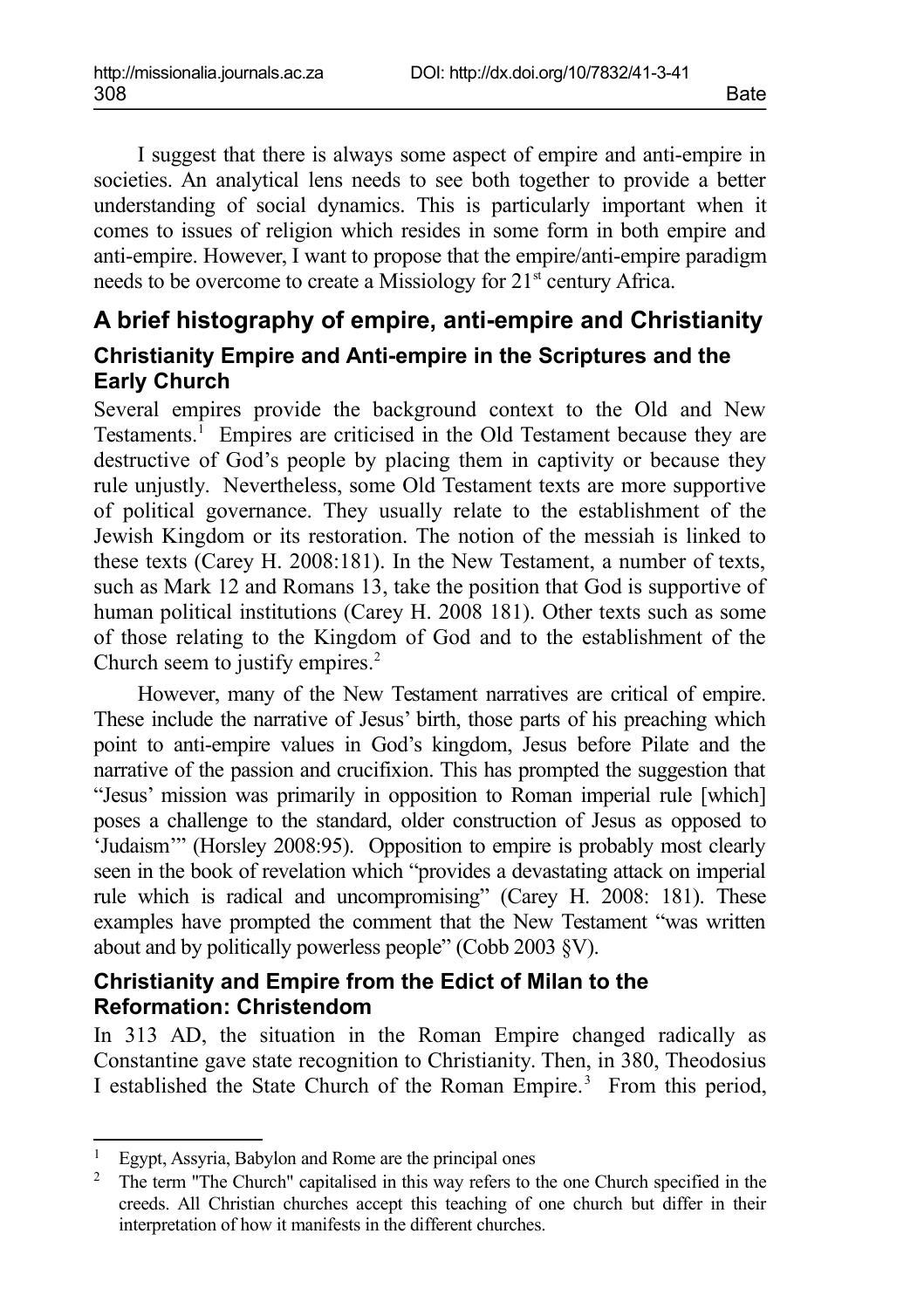I suggest that there is always some aspect of empire and anti-empire in societies. An analytical lens needs to see both together to provide a better understanding of social dynamics. This is particularly important when it comes to issues of religion which resides in some form in both empire and anti-empire. However, I want to propose that the empire/anti-empire paradigm needs to be overcome to create a Missiology for  $21<sup>st</sup>$  century Africa.

## **A brief histography of empire, anti-empire and Christianity Christianity Empire and Anti-empire in the Scriptures and the Early Church**

Several empires provide the background context to the Old and New Testaments.<sup>[1](#page-1-0)</sup> Empires are criticised in the Old Testament because they are destructive of God's people by placing them in captivity or because they rule unjustly. Nevertheless, some Old Testament texts are more supportive of political governance. They usually relate to the establishment of the Jewish Kingdom or its restoration. The notion of the messiah is linked to these texts (Carey H. 2008:181). In the New Testament, a number of texts, such as Mark 12 and Romans 13, take the position that God is supportive of human political institutions (Carey H. 2008 181). Other texts such as some of those relating to the Kingdom of God and to the establishment of the Church seem to justify empires.<sup>[2](#page-1-1)</sup>

However, many of the New Testament narratives are critical of empire. These include the narrative of Jesus' birth, those parts of his preaching which point to anti-empire values in God's kingdom, Jesus before Pilate and the narrative of the passion and crucifixion. This has prompted the suggestion that "Jesus' mission was primarily in opposition to Roman imperial rule [which] poses a challenge to the standard, older construction of Jesus as opposed to 'Judaism'" (Horsley 2008:95). Opposition to empire is probably most clearly seen in the book of revelation which "provides a devastating attack on imperial rule which is radical and uncompromising" (Carey H. 2008: 181). These examples have prompted the comment that the New Testament "was written about and by politically powerless people" (Cobb 2003 §V).

#### **Christianity and Empire from the Edict of Milan to the Reformation: Christendom**

In 313 AD, the situation in the Roman Empire changed radically as Constantine gave state recognition to Christianity. Then, in 380, Theodosius I established the State Church of the Roman Empire.<sup>3</sup> From this period,

<span id="page-1-0"></span><sup>&</sup>lt;sup>1</sup> Egypt, Assyria, Babylon and Rome are the principal ones<br><sup>2</sup> The term "The Church" capitalised in this way refers to t

<span id="page-1-1"></span><sup>2</sup> The term "The Church" capitalised in this way refers to the one Church specified in the creeds. All Christian churches accept this teaching of one church but differ in their interpretation of how it manifests in the different churches.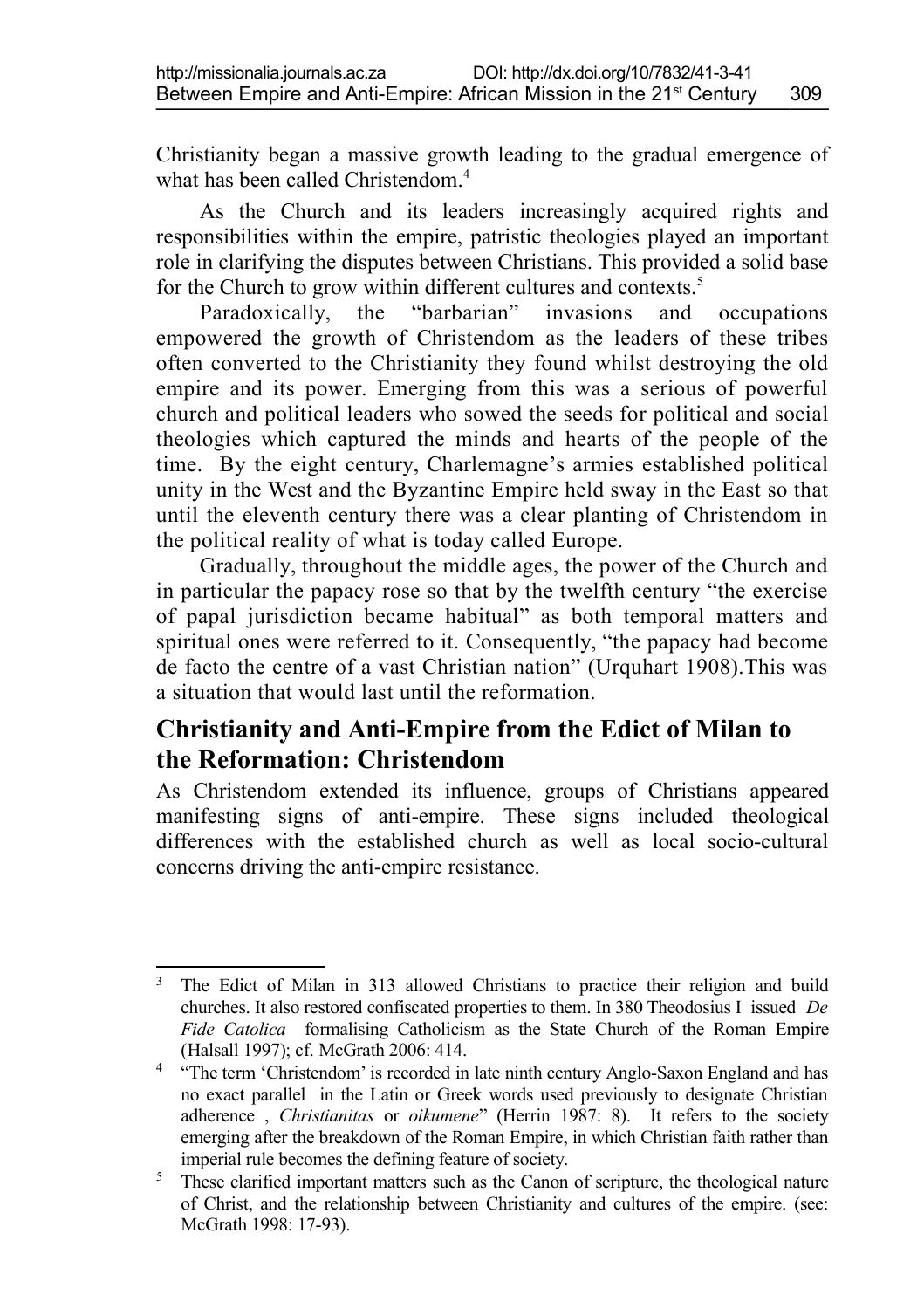Christianity began a massive growth leading to the gradual emergence of what has been called Christendom<sup>[4](#page-2-0)</sup>

As the Church and its leaders increasingly acquired rights and responsibilities within the empire, patristic theologies played an important role in clarifying the disputes between Christians. This provided a solid base for the Church to grow within different cultures and contexts.<sup>[5](#page-2-1)</sup>

Paradoxically, the "barbarian" invasions and occupations empowered the growth of Christendom as the leaders of these tribes often converted to the Christianity they found whilst destroying the old empire and its power. Emerging from this was a serious of powerful church and political leaders who sowed the seeds for political and social theologies which captured the minds and hearts of the people of the time. By the eight century, Charlemagne's armies established political unity in the West and the Byzantine Empire held sway in the East so that until the eleventh century there was a clear planting of Christendom in the political reality of what is today called Europe.

Gradually, throughout the middle ages, the power of the Church and in particular the papacy rose so that by the twelfth century "the exercise of papal jurisdiction became habitual" as both temporal matters and spiritual ones were referred to it. Consequently, "the papacy had become de facto the centre of a vast Christian nation" (Urquhart 1908).This was a situation that would last until the reformation.

## **Christianity and Anti-Empire from the Edict of Milan to the Reformation: Christendom**

As Christendom extended its influence, groups of Christians appeared manifesting signs of anti-empire. These signs included theological differences with the established church as well as local socio-cultural concerns driving the anti-empire resistance.

<sup>&</sup>lt;sup>3</sup> The Edict of Milan in 313 allowed Christians to practice their religion and build churches. It also restored confiscated properties to them. In 380 Theodosius I issued *De Fide Catolica* formalising Catholicism as the State Church of the Roman Empire (Halsall 1997); cf. McGrath 2006: 414.

<span id="page-2-0"></span><sup>&</sup>lt;sup>4</sup> "The term 'Christendom' is recorded in late ninth century Anglo-Saxon England and has no exact parallel in the Latin or Greek words used previously to designate Christian adherence , *Christianitas* or *oikumene*" (Herrin 1987: 8). It refers to the society emerging after the breakdown of the Roman Empire, in which Christian faith rather than imperial rule becomes the defining feature of society.

<span id="page-2-1"></span><sup>&</sup>lt;sup>5</sup> These clarified important matters such as the Canon of scripture, the theological nature of Christ, and the relationship between Christianity and cultures of the empire. (see: McGrath 1998: 17-93).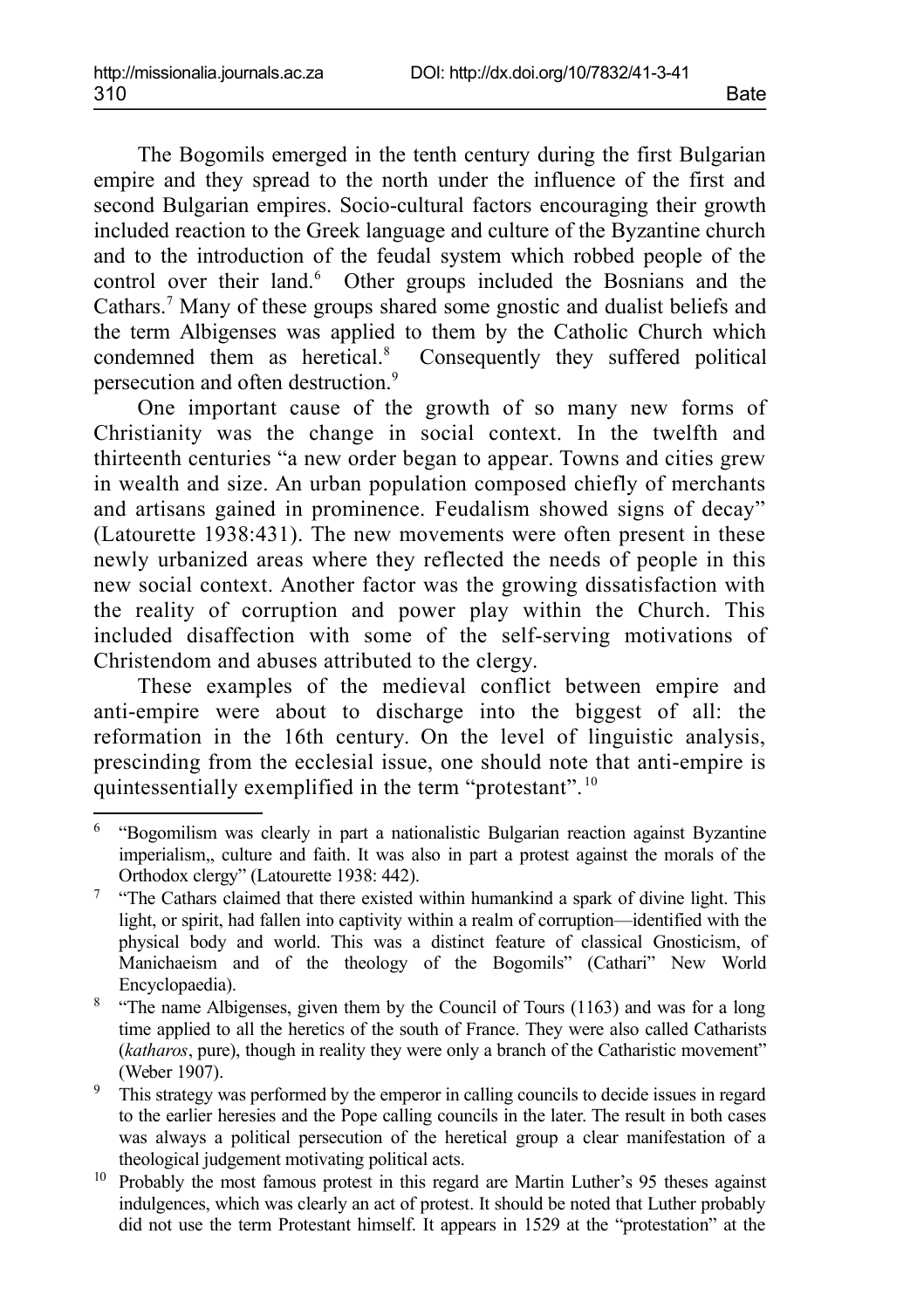The Bogomils emerged in the tenth century during the first Bulgarian empire and they spread to the north under the influence of the first and second Bulgarian empires. Socio-cultural factors encouraging their growth included reaction to the Greek language and culture of the Byzantine church and to the introduction of the feudal system which robbed people of the control over their land.<sup>[6](#page-3-0)</sup> Other groups included the Bosnians and the Cathars.[7](#page-3-1) Many of these groups shared some gnostic and dualist beliefs and the term Albigenses was applied to them by the Catholic Church which condemned them as heretical.<sup>[8](#page-3-2)</sup> Consequently they suffered political persecution and often destruction.[9](#page-3-3)

One important cause of the growth of so many new forms of Christianity was the change in social context. In the twelfth and thirteenth centuries "a new order began to appear. Towns and cities grew in wealth and size. An urban population composed chiefly of merchants and artisans gained in prominence. Feudalism showed signs of decay" (Latourette 1938:431). The new movements were often present in these newly urbanized areas where they reflected the needs of people in this new social context. Another factor was the growing dissatisfaction with the reality of corruption and power play within the Church. This included disaffection with some of the self-serving motivations of Christendom and abuses attributed to the clergy.

These examples of the medieval conflict between empire and anti-empire were about to discharge into the biggest of all: the reformation in the 16th century. On the level of linguistic analysis, prescinding from the ecclesial issue, one should note that anti-empire is quintessentially exemplified in the term "protestant". [10](#page-3-4)

<span id="page-3-0"></span><sup>&</sup>lt;sup>6</sup> "Bogomilism was clearly in part a nationalistic Bulgarian reaction against Byzantine imperialism,, culture and faith. It was also in part a protest against the morals of the Orthodox clergy" (Latourette 1938: 442).

<span id="page-3-1"></span><sup>&</sup>lt;sup>7</sup> "The Cathars claimed that there existed within humankind a spark of divine light. This light, or spirit, had fallen into captivity within a realm of corruption—identified with the physical body and world. This was a distinct feature of classical Gnosticism, of Manichaeism and of the theology of the Bogomils" (Cathari" New World Encyclopaedia).

<span id="page-3-2"></span><sup>&</sup>lt;sup>8</sup> "The name Albigenses, given them by the Council of Tours (1163) and was for a long time applied to all the heretics of the south of France. They were also called Catharists (*katharos*, pure), though in reality they were only a branch of the Catharistic movement" (Weber 1907).

<span id="page-3-3"></span><sup>&</sup>lt;sup>9</sup> This strategy was performed by the emperor in calling councils to decide issues in regard to the earlier heresies and the Pope calling councils in the later. The result in both cases was always a political persecution of the heretical group a clear manifestation of a theological judgement motivating political acts.

<span id="page-3-4"></span><sup>10</sup> Probably the most famous protest in this regard are Martin Luther's 95 theses against indulgences, which was clearly an act of protest. It should be noted that Luther probably did not use the term Protestant himself. It appears in 1529 at the "protestation" at the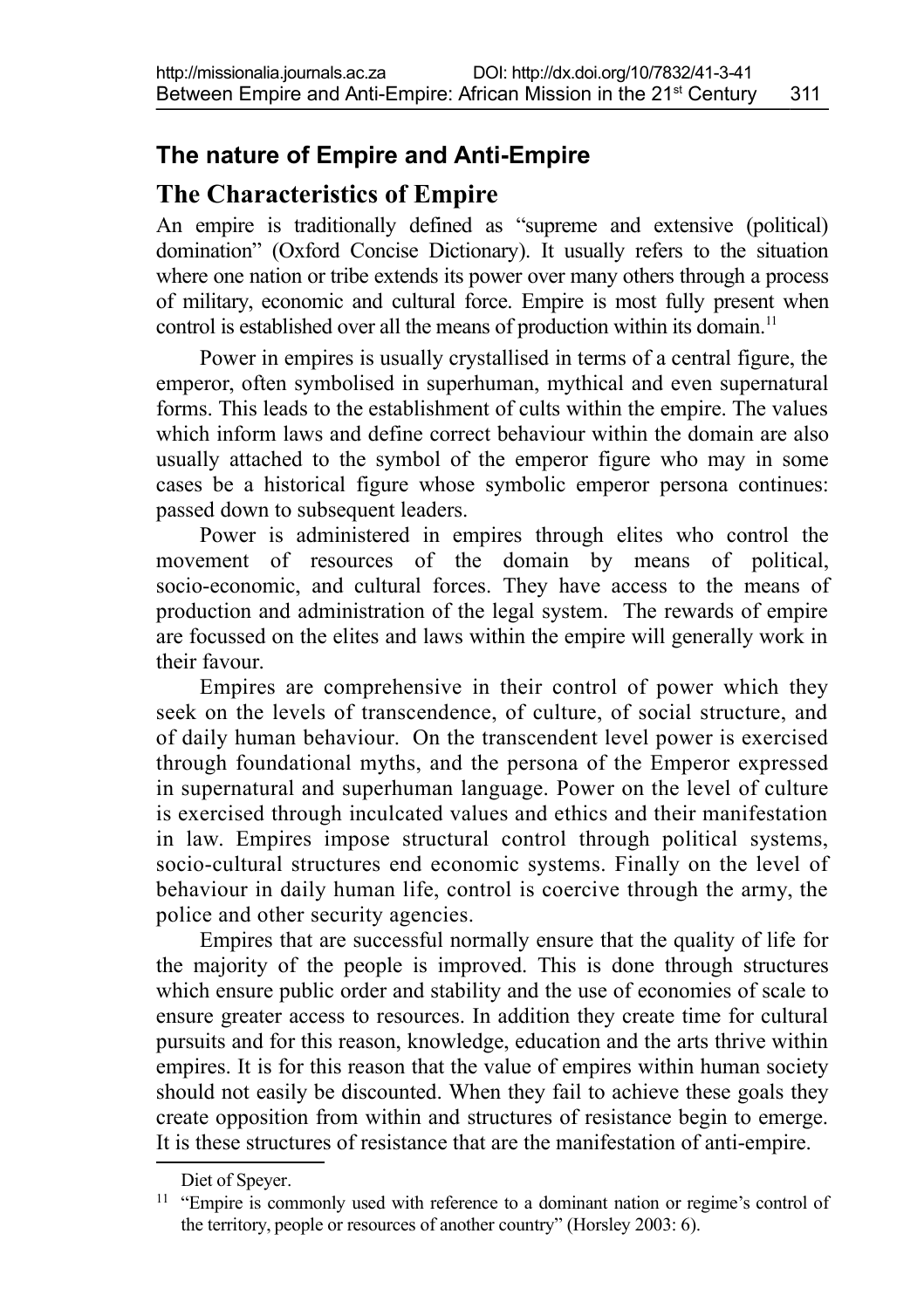## **The nature of Empire and Anti-Empire**

### **The Characteristics of Empire**

An empire is traditionally defined as "supreme and extensive (political) domination" (Oxford Concise Dictionary). It usually refers to the situation where one nation or tribe extends its power over many others through a process of military, economic and cultural force. Empire is most fully present when control is established over all the means of production within its domain.<sup>[11](#page-4-0)</sup>

Power in empires is usually crystallised in terms of a central figure, the emperor, often symbolised in superhuman, mythical and even supernatural forms. This leads to the establishment of cults within the empire. The values which inform laws and define correct behaviour within the domain are also usually attached to the symbol of the emperor figure who may in some cases be a historical figure whose symbolic emperor persona continues: passed down to subsequent leaders.

Power is administered in empires through elites who control the movement of resources of the domain by means of political, socio-economic, and cultural forces. They have access to the means of production and administration of the legal system. The rewards of empire are focussed on the elites and laws within the empire will generally work in their favour.

Empires are comprehensive in their control of power which they seek on the levels of transcendence, of culture, of social structure, and of daily human behaviour. On the transcendent level power is exercised through foundational myths, and the persona of the Emperor expressed in supernatural and superhuman language. Power on the level of culture is exercised through inculcated values and ethics and their manifestation in law. Empires impose structural control through political systems, socio-cultural structures end economic systems. Finally on the level of behaviour in daily human life, control is coercive through the army, the police and other security agencies.

Empires that are successful normally ensure that the quality of life for the majority of the people is improved. This is done through structures which ensure public order and stability and the use of economies of scale to ensure greater access to resources. In addition they create time for cultural pursuits and for this reason, knowledge, education and the arts thrive within empires. It is for this reason that the value of empires within human society should not easily be discounted. When they fail to achieve these goals they create opposition from within and structures of resistance begin to emerge. It is these structures of resistance that are the manifestation of anti-empire.

<span id="page-4-0"></span>Diet of Speyer.

<sup>&</sup>lt;sup>11</sup> "Empire is commonly used with reference to a dominant nation or regime's control of the territory, people or resources of another country" (Horsley 2003: 6).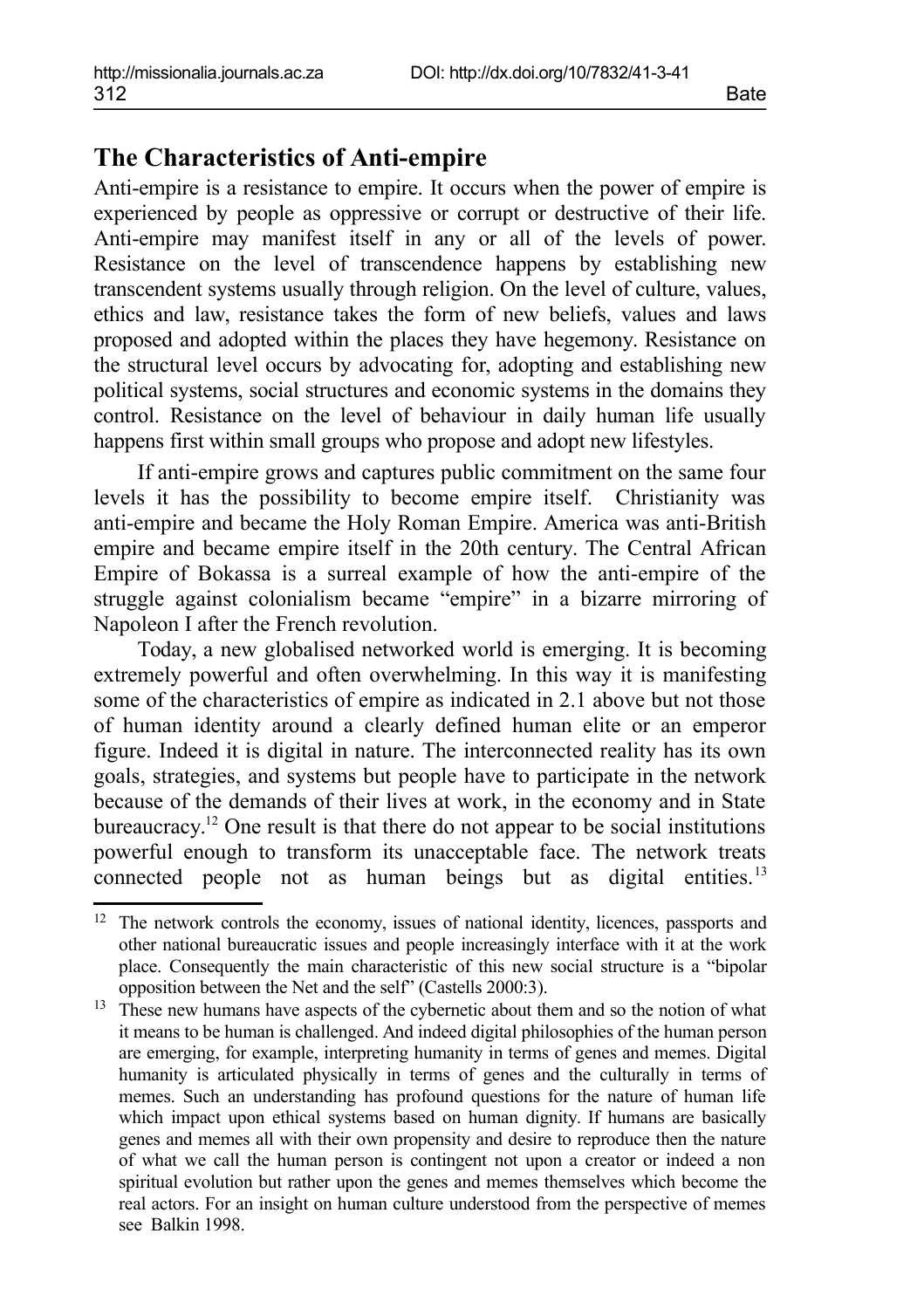## **The Characteristics of Anti-empire**

Anti-empire is a resistance to empire. It occurs when the power of empire is experienced by people as oppressive or corrupt or destructive of their life. Anti-empire may manifest itself in any or all of the levels of power. Resistance on the level of transcendence happens by establishing new transcendent systems usually through religion. On the level of culture, values, ethics and law, resistance takes the form of new beliefs, values and laws proposed and adopted within the places they have hegemony. Resistance on the structural level occurs by advocating for, adopting and establishing new political systems, social structures and economic systems in the domains they control. Resistance on the level of behaviour in daily human life usually happens first within small groups who propose and adopt new lifestyles.

If anti-empire grows and captures public commitment on the same four levels it has the possibility to become empire itself. Christianity was anti-empire and became the Holy Roman Empire. America was anti-British empire and became empire itself in the 20th century. The Central African Empire of Bokassa is a surreal example of how the anti-empire of the struggle against colonialism became "empire" in a bizarre mirroring of Napoleon I after the French revolution.

Today, a new globalised networked world is emerging. It is becoming extremely powerful and often overwhelming. In this way it is manifesting some of the characteristics of empire as indicated in 2.1 above but not those of human identity around a clearly defined human elite or an emperor figure. Indeed it is digital in nature. The interconnected reality has its own goals, strategies, and systems but people have to participate in the network because of the demands of their lives at work, in the economy and in State bureaucracy.<sup>[12](#page-5-0)</sup> One result is that there do not appear to be social institutions powerful enough to transform its unacceptable face. The network treats connected people not as human beings but as digital entities.<sup>[13](#page-5-1)</sup>

<span id="page-5-0"></span><sup>&</sup>lt;sup>12</sup> The network controls the economy, issues of national identity, licences, passports and other national bureaucratic issues and people increasingly interface with it at the work place. Consequently the main characteristic of this new social structure is a "bipolar opposition between the Net and the self" (Castells 2000:3).

<span id="page-5-1"></span><sup>&</sup>lt;sup>13</sup> These new humans have aspects of the cybernetic about them and so the notion of what it means to be human is challenged. And indeed digital philosophies of the human person are emerging, for example, interpreting humanity in terms of genes and memes. Digital humanity is articulated physically in terms of genes and the culturally in terms of memes. Such an understanding has profound questions for the nature of human life which impact upon ethical systems based on human dignity. If humans are basically genes and memes all with their own propensity and desire to reproduce then the nature of what we call the human person is contingent not upon a creator or indeed a non spiritual evolution but rather upon the genes and memes themselves which become the real actors. For an insight on human culture understood from the perspective of memes see Balkin 1998.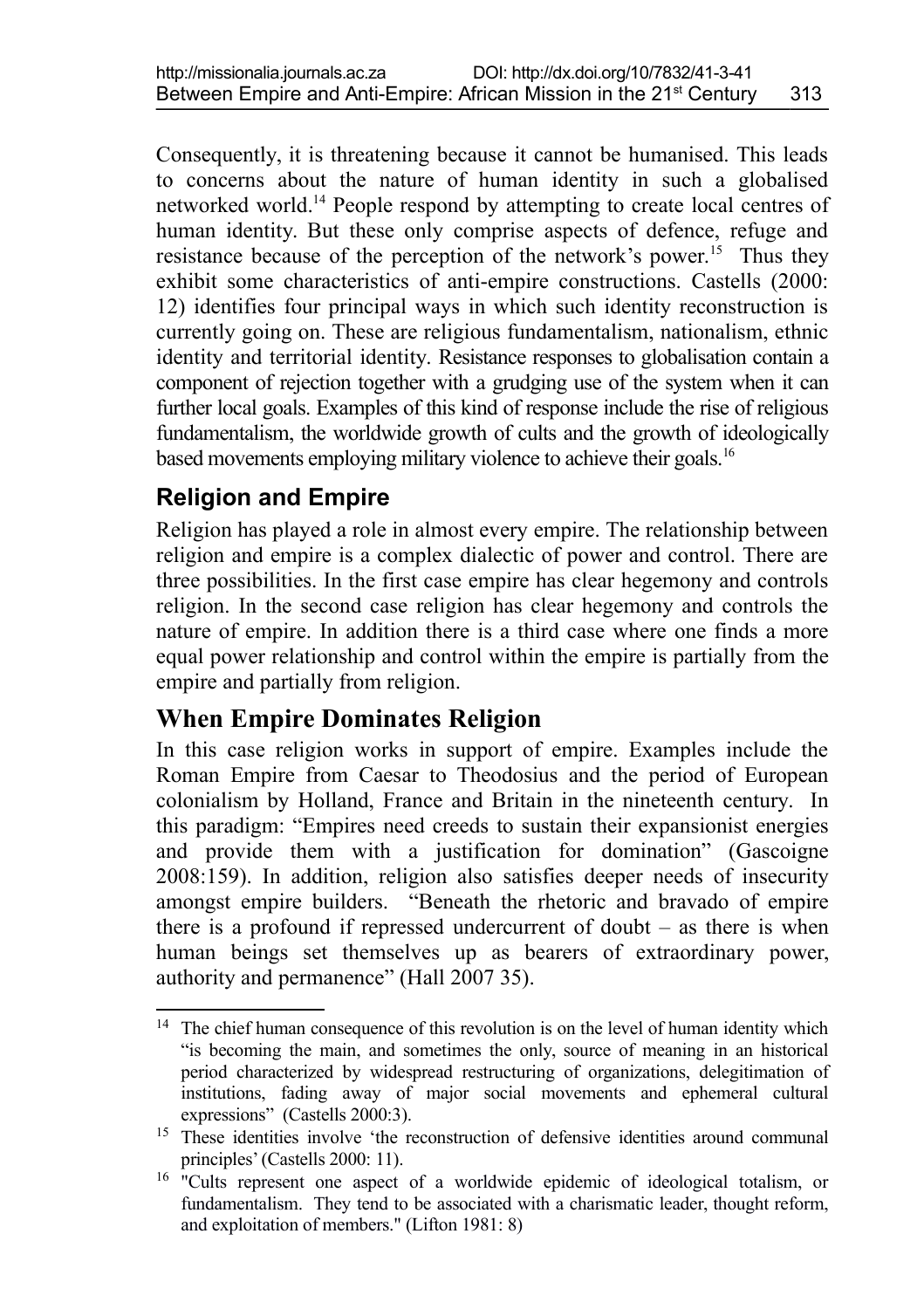Consequently, it is threatening because it cannot be humanised. This leads to concerns about the nature of human identity in such a globalised networked world.[14](#page-6-0) People respond by attempting to create local centres of human identity. But these only comprise aspects of defence, refuge and resistance because of the perception of the network's power.<sup>[15](#page-6-1)</sup> Thus they exhibit some characteristics of anti-empire constructions. Castells (2000: 12) identifies four principal ways in which such identity reconstruction is currently going on. These are religious fundamentalism, nationalism, ethnic identity and territorial identity. Resistance responses to globalisation contain a component of rejection together with a grudging use of the system when it can further local goals. Examples of this kind of response include the rise of religious fundamentalism, the worldwide growth of cults and the growth of ideologically based movements employing military violence to achieve their goals.<sup>[16](#page-6-2)</sup>

## **Religion and Empire**

Religion has played a role in almost every empire. The relationship between religion and empire is a complex dialectic of power and control. There are three possibilities. In the first case empire has clear hegemony and controls religion. In the second case religion has clear hegemony and controls the nature of empire. In addition there is a third case where one finds a more equal power relationship and control within the empire is partially from the empire and partially from religion.

## **When Empire Dominates Religion**

In this case religion works in support of empire. Examples include the Roman Empire from Caesar to Theodosius and the period of European colonialism by Holland, France and Britain in the nineteenth century. In this paradigm: "Empires need creeds to sustain their expansionist energies and provide them with a justification for domination" (Gascoigne 2008:159). In addition, religion also satisfies deeper needs of insecurity amongst empire builders. "Beneath the rhetoric and bravado of empire there is a profound if repressed undercurrent of doubt – as there is when human beings set themselves up as bearers of extraordinary power, authority and permanence" (Hall 2007 35).

<span id="page-6-0"></span><sup>&</sup>lt;sup>14</sup> The chief human consequence of this revolution is on the level of human identity which "is becoming the main, and sometimes the only, source of meaning in an historical period characterized by widespread restructuring of organizations, delegitimation of institutions, fading away of major social movements and ephemeral cultural expressions" (Castells 2000:3).

<span id="page-6-1"></span><sup>&</sup>lt;sup>15</sup> These identities involve 'the reconstruction of defensive identities around communal principles' (Castells 2000: 11).

<span id="page-6-2"></span><sup>&</sup>lt;sup>16</sup> "Cults represent one aspect of a worldwide epidemic of ideological totalism, or fundamentalism. They tend to be associated with a charismatic leader, thought reform, and exploitation of members." (Lifton 1981: 8)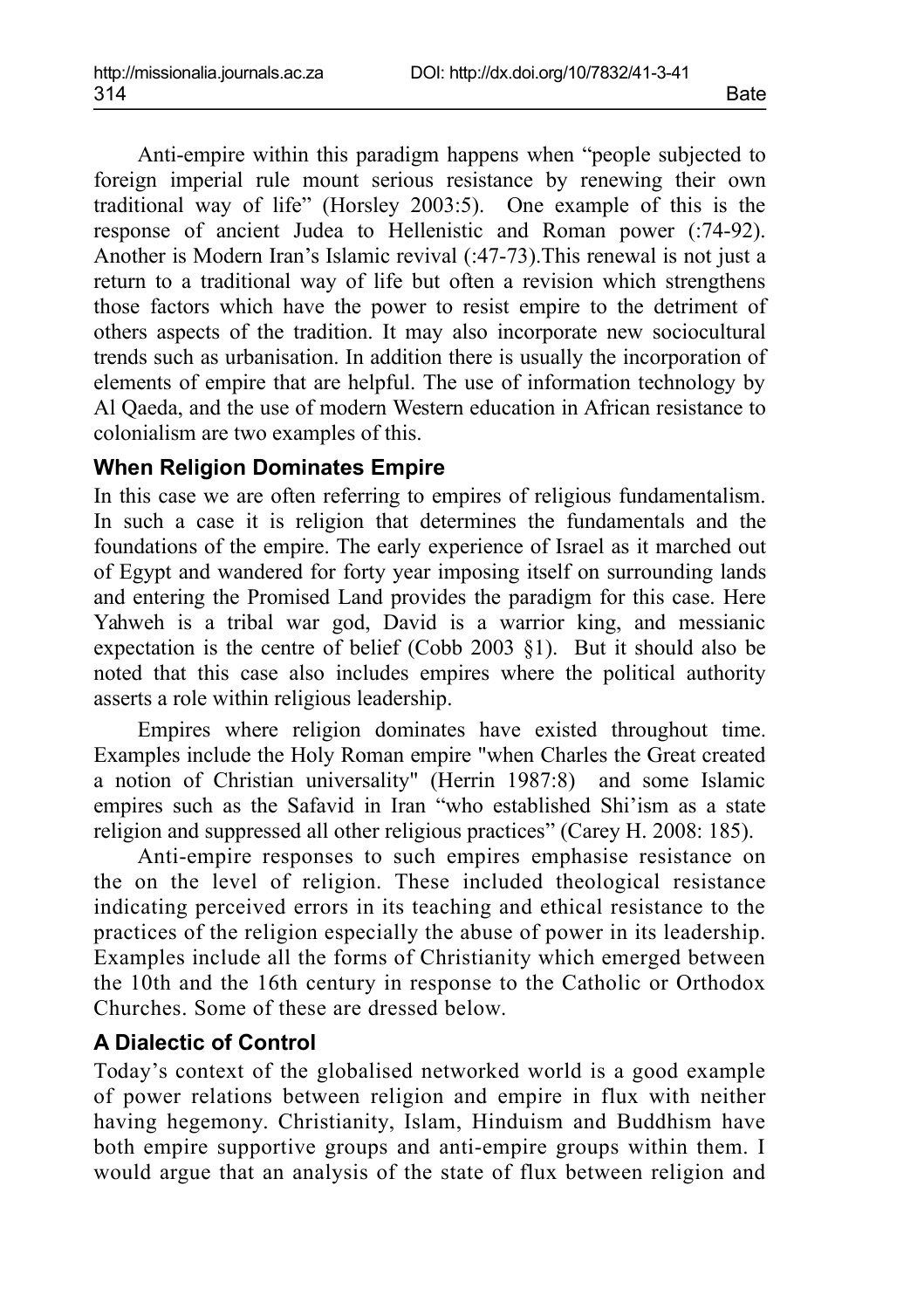Anti-empire within this paradigm happens when "people subjected to foreign imperial rule mount serious resistance by renewing their own traditional way of life" (Horsley 2003:5). One example of this is the response of ancient Judea to Hellenistic and Roman power (:74-92). Another is Modern Iran's Islamic revival (:47-73).This renewal is not just a return to a traditional way of life but often a revision which strengthens those factors which have the power to resist empire to the detriment of others aspects of the tradition. It may also incorporate new sociocultural trends such as urbanisation. In addition there is usually the incorporation of elements of empire that are helpful. The use of information technology by Al Qaeda, and the use of modern Western education in African resistance to colonialism are two examples of this.

#### **When Religion Dominates Empire**

In this case we are often referring to empires of religious fundamentalism. In such a case it is religion that determines the fundamentals and the foundations of the empire. The early experience of Israel as it marched out of Egypt and wandered for forty year imposing itself on surrounding lands and entering the Promised Land provides the paradigm for this case. Here Yahweh is a tribal war god, David is a warrior king, and messianic expectation is the centre of belief (Cobb 2003 §1). But it should also be noted that this case also includes empires where the political authority asserts a role within religious leadership.

Empires where religion dominates have existed throughout time. Examples include the Holy Roman empire "when Charles the Great created a notion of Christian universality" (Herrin 1987:8) and some Islamic empires such as the Safavid in Iran "who established Shi'ism as a state religion and suppressed all other religious practices" (Carey H. 2008: 185).

Anti-empire responses to such empires emphasise resistance on the on the level of religion. These included theological resistance indicating perceived errors in its teaching and ethical resistance to the practices of the religion especially the abuse of power in its leadership. Examples include all the forms of Christianity which emerged between the 10th and the 16th century in response to the Catholic or Orthodox Churches. Some of these are dressed below.

#### **A Dialectic of Control**

Today's context of the globalised networked world is a good example of power relations between religion and empire in flux with neither having hegemony. Christianity, Islam, Hinduism and Buddhism have both empire supportive groups and anti-empire groups within them. I would argue that an analysis of the state of flux between religion and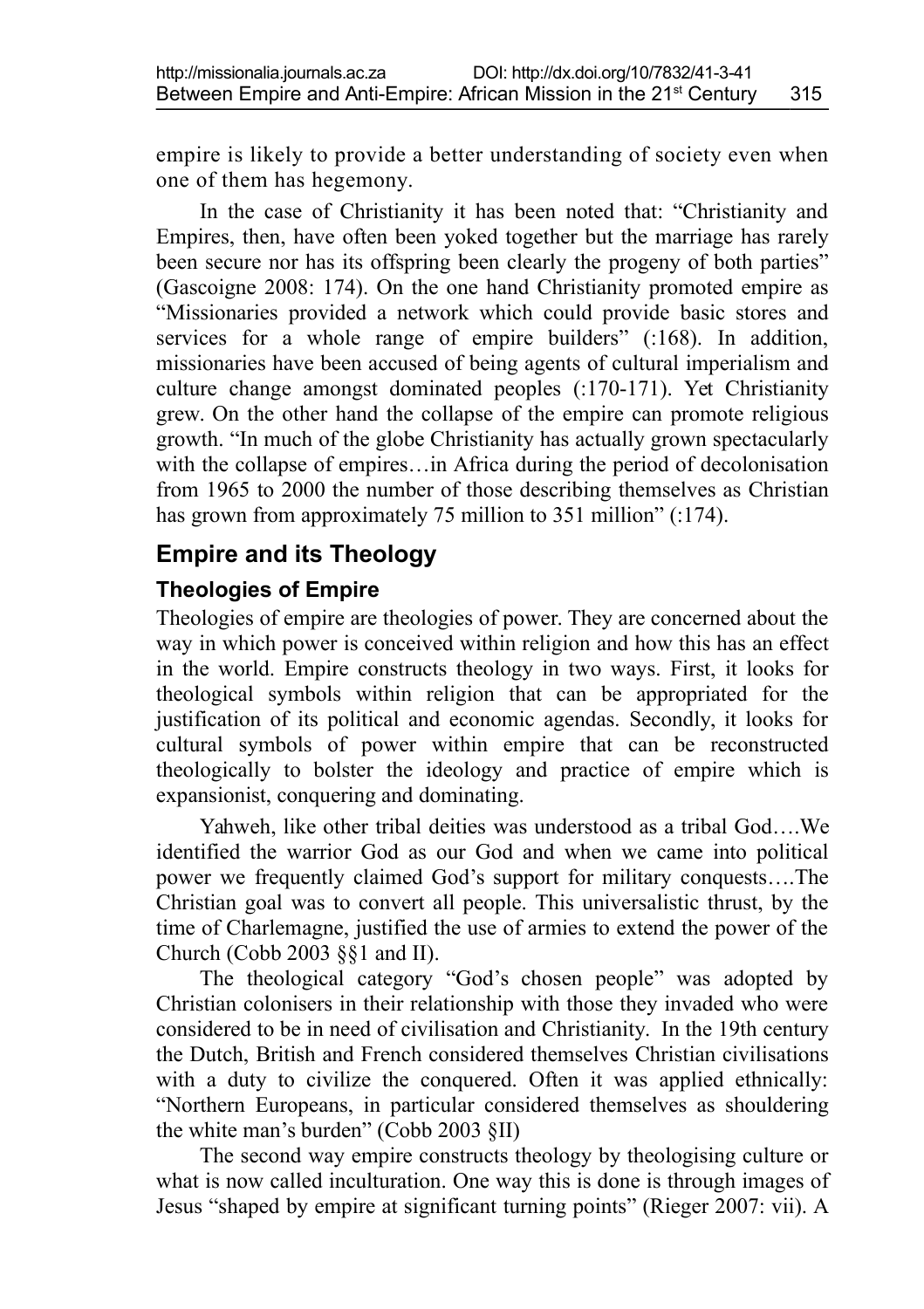empire is likely to provide a better understanding of society even when one of them has hegemony.

In the case of Christianity it has been noted that: "Christianity and Empires, then, have often been yoked together but the marriage has rarely been secure nor has its offspring been clearly the progeny of both parties" (Gascoigne 2008: 174). On the one hand Christianity promoted empire as "Missionaries provided a network which could provide basic stores and services for a whole range of empire builders" (:168). In addition, missionaries have been accused of being agents of cultural imperialism and culture change amongst dominated peoples (:170-171). Yet Christianity grew. On the other hand the collapse of the empire can promote religious growth. "In much of the globe Christianity has actually grown spectacularly with the collapse of empires...in Africa during the period of decolonisation from 1965 to 2000 the number of those describing themselves as Christian has grown from approximately 75 million to 351 million" (:174).

### **Empire and its Theology**

#### **Theologies of Empire**

Theologies of empire are theologies of power. They are concerned about the way in which power is conceived within religion and how this has an effect in the world. Empire constructs theology in two ways. First, it looks for theological symbols within religion that can be appropriated for the justification of its political and economic agendas. Secondly, it looks for cultural symbols of power within empire that can be reconstructed theologically to bolster the ideology and practice of empire which is expansionist, conquering and dominating.

Yahweh, like other tribal deities was understood as a tribal God….We identified the warrior God as our God and when we came into political power we frequently claimed God's support for military conquests….The Christian goal was to convert all people. This universalistic thrust, by the time of Charlemagne, justified the use of armies to extend the power of the Church (Cobb 2003 §§1 and II).

The theological category "God's chosen people" was adopted by Christian colonisers in their relationship with those they invaded who were considered to be in need of civilisation and Christianity. In the 19th century the Dutch, British and French considered themselves Christian civilisations with a duty to civilize the conquered. Often it was applied ethnically: "Northern Europeans, in particular considered themselves as shouldering the white man's burden" (Cobb 2003 §II)

The second way empire constructs theology by theologising culture or what is now called inculturation. One way this is done is through images of Jesus "shaped by empire at significant turning points" (Rieger 2007: vii). A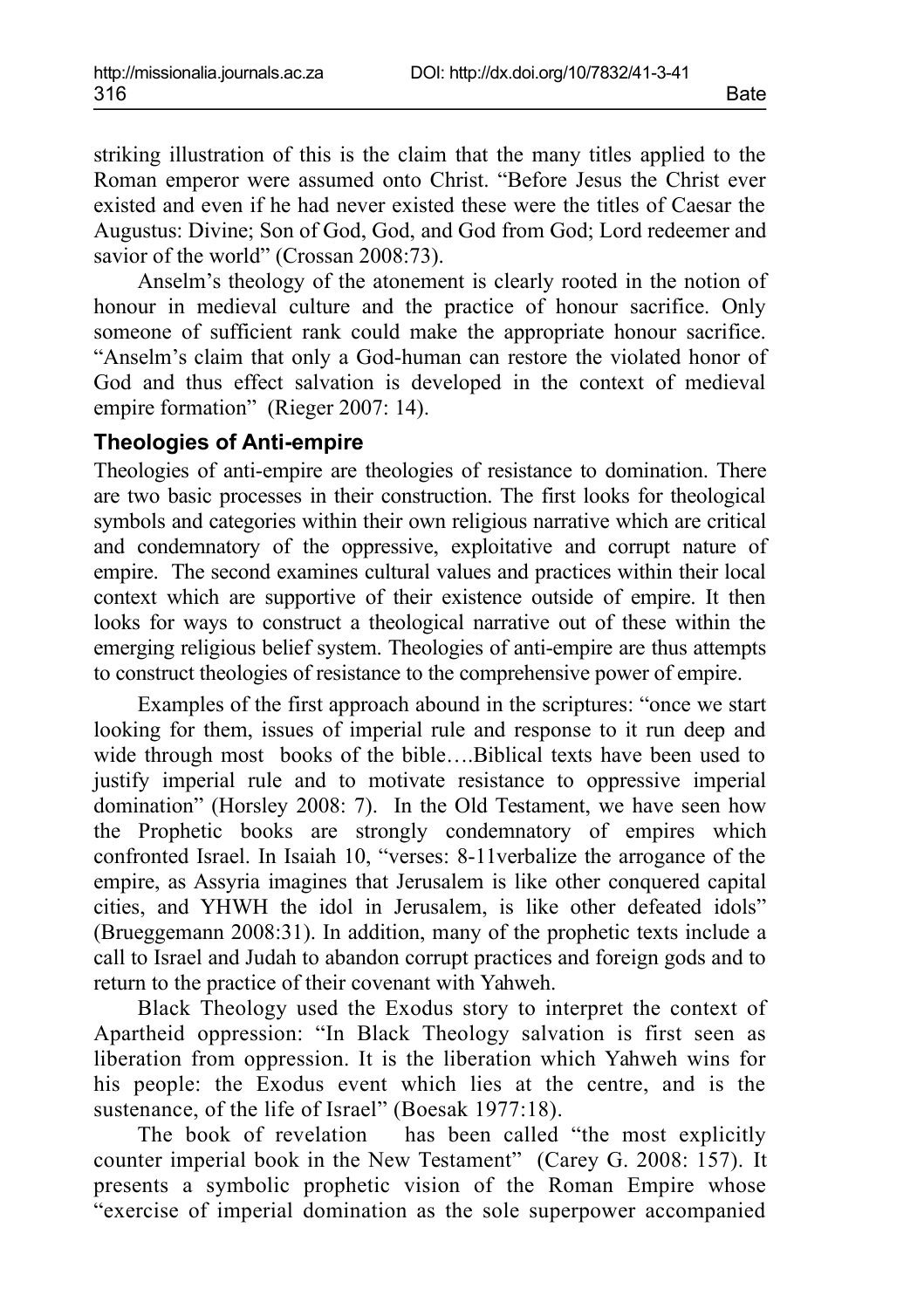striking illustration of this is the claim that the many titles applied to the Roman emperor were assumed onto Christ. "Before Jesus the Christ ever existed and even if he had never existed these were the titles of Caesar the Augustus: Divine; Son of God, God, and God from God; Lord redeemer and savior of the world" (Crossan 2008:73).

Anselm's theology of the atonement is clearly rooted in the notion of honour in medieval culture and the practice of honour sacrifice. Only someone of sufficient rank could make the appropriate honour sacrifice. "Anselm's claim that only a God-human can restore the violated honor of God and thus effect salvation is developed in the context of medieval empire formation" (Rieger 2007: 14).

#### **Theologies of Anti-empire**

Theologies of anti-empire are theologies of resistance to domination. There are two basic processes in their construction. The first looks for theological symbols and categories within their own religious narrative which are critical and condemnatory of the oppressive, exploitative and corrupt nature of empire. The second examines cultural values and practices within their local context which are supportive of their existence outside of empire. It then looks for ways to construct a theological narrative out of these within the emerging religious belief system. Theologies of anti-empire are thus attempts to construct theologies of resistance to the comprehensive power of empire.

Examples of the first approach abound in the scriptures: "once we start looking for them, issues of imperial rule and response to it run deep and wide through most books of the bible….Biblical texts have been used to justify imperial rule and to motivate resistance to oppressive imperial domination" (Horsley 2008: 7). In the Old Testament, we have seen how the Prophetic books are strongly condemnatory of empires which confronted Israel. In Isaiah 10, "verses: 8-11verbalize the arrogance of the empire, as Assyria imagines that Jerusalem is like other conquered capital cities, and YHWH the idol in Jerusalem, is like other defeated idols" (Brueggemann 2008:31). In addition, many of the prophetic texts include a call to Israel and Judah to abandon corrupt practices and foreign gods and to return to the practice of their covenant with Yahweh.

Black Theology used the Exodus story to interpret the context of Apartheid oppression: "In Black Theology salvation is first seen as liberation from oppression. It is the liberation which Yahweh wins for his people: the Exodus event which lies at the centre, and is the sustenance, of the life of Israel" (Boesak 1977:18).

The book of revelation has been called "the most explicitly counter imperial book in the New Testament" (Carey G. 2008: 157). It presents a symbolic prophetic vision of the Roman Empire whose "exercise of imperial domination as the sole superpower accompanied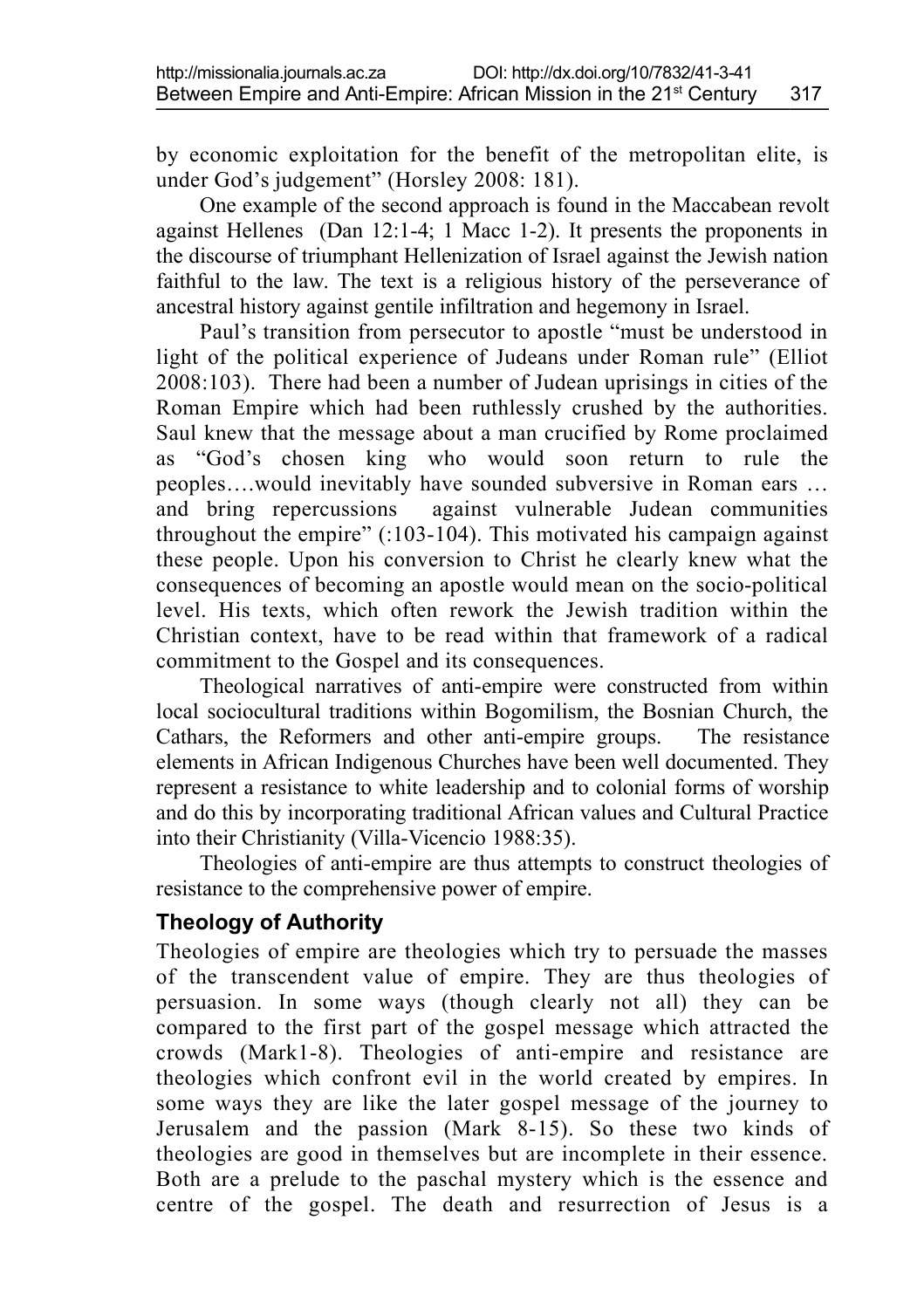by economic exploitation for the benefit of the metropolitan elite, is under God's judgement" (Horsley 2008: 181).

One example of the second approach is found in the Maccabean revolt against Hellenes (Dan 12:1-4; 1 Macc 1-2). It presents the proponents in the discourse of triumphant Hellenization of Israel against the Jewish nation faithful to the law. The text is a religious history of the perseverance of ancestral history against gentile infiltration and hegemony in Israel.

Paul's transition from persecutor to apostle "must be understood in light of the political experience of Judeans under Roman rule" (Elliot 2008:103). There had been a number of Judean uprisings in cities of the Roman Empire which had been ruthlessly crushed by the authorities. Saul knew that the message about a man crucified by Rome proclaimed as "God's chosen king who would soon return to rule the peoples….would inevitably have sounded subversive in Roman ears … and bring repercussions against vulnerable Judean communities throughout the empire" (:103-104). This motivated his campaign against these people. Upon his conversion to Christ he clearly knew what the consequences of becoming an apostle would mean on the socio-political level. His texts, which often rework the Jewish tradition within the Christian context, have to be read within that framework of a radical commitment to the Gospel and its consequences.

Theological narratives of anti-empire were constructed from within local sociocultural traditions within Bogomilism, the Bosnian Church, the Cathars, the Reformers and other anti-empire groups. The resistance elements in African Indigenous Churches have been well documented. They represent a resistance to white leadership and to colonial forms of worship and do this by incorporating traditional African values and Cultural Practice into their Christianity (Villa-Vicencio 1988:35).

Theologies of anti-empire are thus attempts to construct theologies of resistance to the comprehensive power of empire.

#### **Theology of Authority**

Theologies of empire are theologies which try to persuade the masses of the transcendent value of empire. They are thus theologies of persuasion. In some ways (though clearly not all) they can be compared to the first part of the gospel message which attracted the crowds (Mark1-8). Theologies of anti-empire and resistance are theologies which confront evil in the world created by empires. In some ways they are like the later gospel message of the journey to Jerusalem and the passion (Mark 8-15). So these two kinds of theologies are good in themselves but are incomplete in their essence. Both are a prelude to the paschal mystery which is the essence and centre of the gospel. The death and resurrection of Jesus is a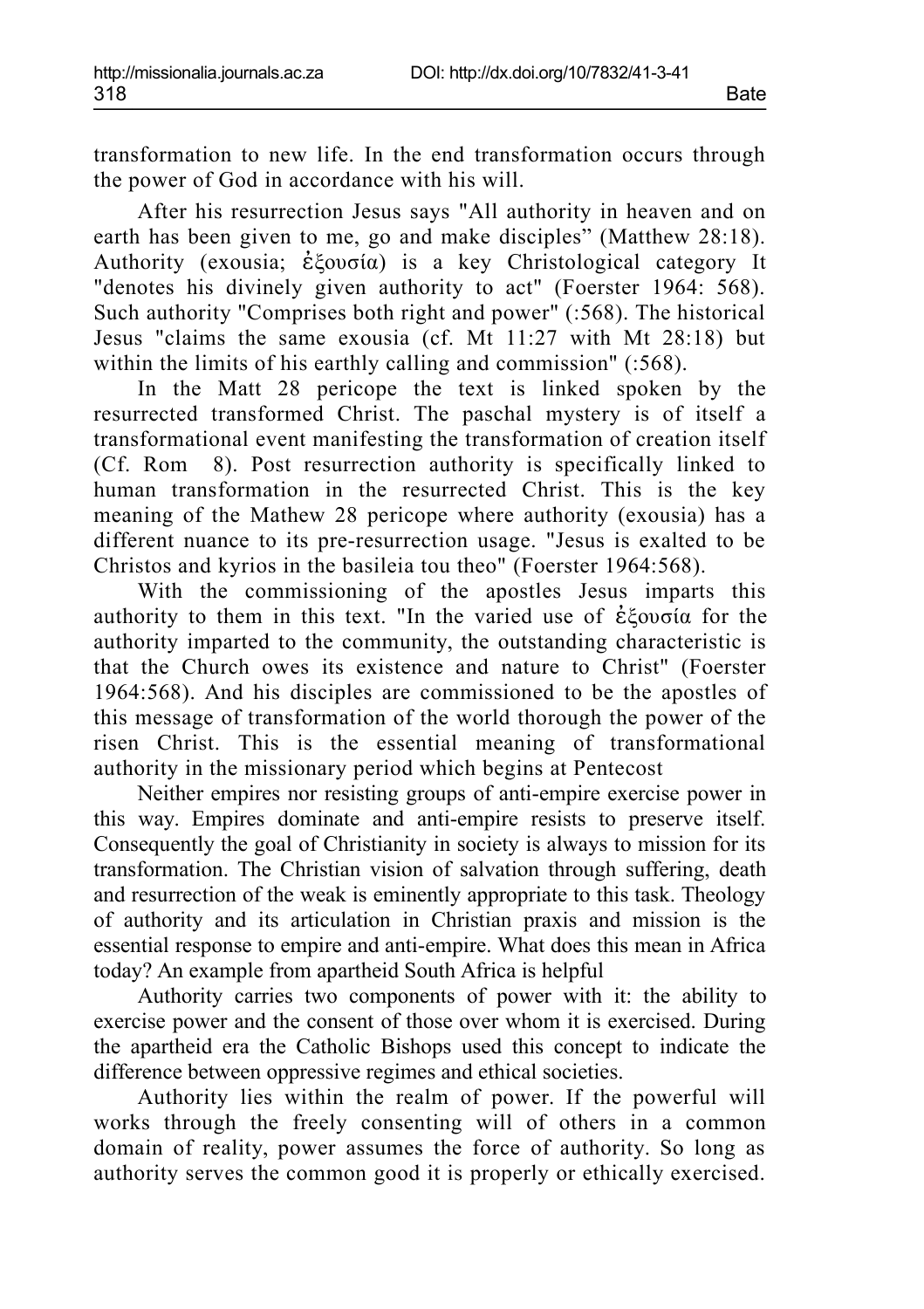transformation to new life. In the end transformation occurs through the power of God in accordance with his will.

After his resurrection Jesus says "All authority in heaven and on earth has been given to me, go and make disciples" (Matthew 28:18). Authority (exousia; ἐξουσία) is a key Christological category It "denotes his divinely given authority to act" (Foerster 1964: 568). Such authority "Comprises both right and power" (:568). The historical Jesus "claims the same exousia (cf. Mt 11:27 with Mt 28:18) but within the limits of his earthly calling and commission" (:568).

In the Matt 28 pericope the text is linked spoken by the resurrected transformed Christ. The paschal mystery is of itself a transformational event manifesting the transformation of creation itself (Cf. Rom 8). Post resurrection authority is specifically linked to human transformation in the resurrected Christ. This is the key meaning of the Mathew 28 pericope where authority (exousia) has a different nuance to its pre-resurrection usage. "Jesus is exalted to be Christos and kyrios in the basileia tou theo" (Foerster 1964:568).

With the commissioning of the apostles Jesus imparts this authority to them in this text. "In the varied use of ἐξουσία for the authority imparted to the community, the outstanding characteristic is that the Church owes its existence and nature to Christ" (Foerster 1964:568). And his disciples are commissioned to be the apostles of this message of transformation of the world thorough the power of the risen Christ. This is the essential meaning of transformational authority in the missionary period which begins at Pentecost

Neither empires nor resisting groups of anti-empire exercise power in this way. Empires dominate and anti-empire resists to preserve itself. Consequently the goal of Christianity in society is always to mission for its transformation. The Christian vision of salvation through suffering, death and resurrection of the weak is eminently appropriate to this task. Theology of authority and its articulation in Christian praxis and mission is the essential response to empire and anti-empire. What does this mean in Africa today? An example from apartheid South Africa is helpful

Authority carries two components of power with it: the ability to exercise power and the consent of those over whom it is exercised. During the apartheid era the Catholic Bishops used this concept to indicate the difference between oppressive regimes and ethical societies.

Authority lies within the realm of power. If the powerful will works through the freely consenting will of others in a common domain of reality, power assumes the force of authority. So long as authority serves the common good it is properly or ethically exercised.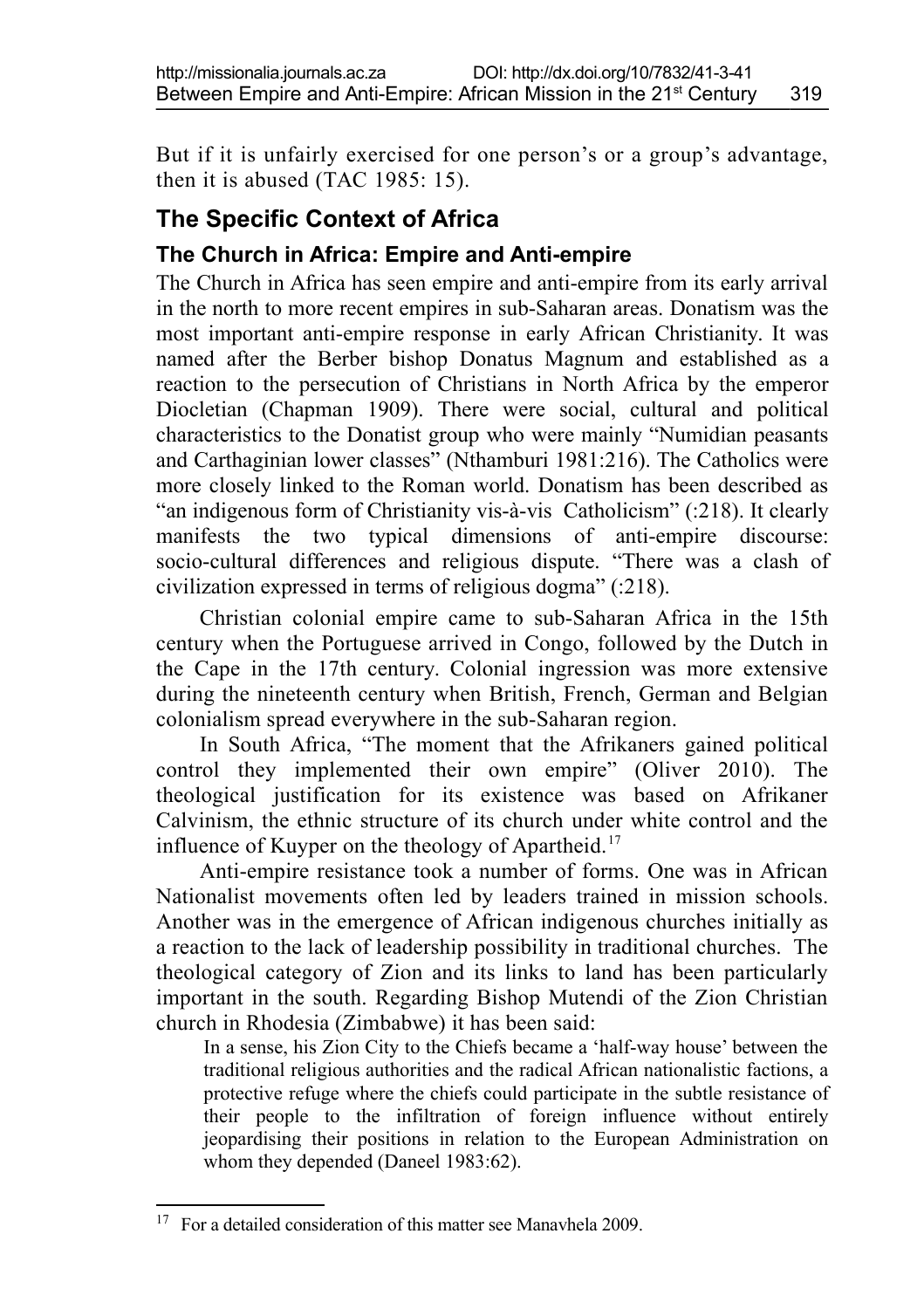But if it is unfairly exercised for one person's or a group's advantage, then it is abused  $(TAC 1985: 15)$ .

### **The Specific Context of Africa**

#### **The Church in Africa: Empire and Anti-empire**

The Church in Africa has seen empire and anti-empire from its early arrival in the north to more recent empires in sub-Saharan areas. Donatism was the most important anti-empire response in early African Christianity. It was named after the Berber bishop Donatus Magnum and established as a reaction to the persecution of Christians in North Africa by the emperor Diocletian (Chapman 1909). There were social, cultural and political characteristics to the Donatist group who were mainly "Numidian peasants and Carthaginian lower classes" (Nthamburi 1981:216). The Catholics were more closely linked to the Roman world. Donatism has been described as "an indigenous form of Christianity vis-à-vis Catholicism" (:218). It clearly manifests the two typical dimensions of anti-empire discourse: socio-cultural differences and religious dispute. "There was a clash of civilization expressed in terms of religious dogma" (:218).

Christian colonial empire came to sub-Saharan Africa in the 15th century when the Portuguese arrived in Congo, followed by the Dutch in the Cape in the 17th century. Colonial ingression was more extensive during the nineteenth century when British, French, German and Belgian colonialism spread everywhere in the sub-Saharan region.

In South Africa, "The moment that the Afrikaners gained political control they implemented their own empire" (Oliver 2010). The theological justification for its existence was based on Afrikaner Calvinism, the ethnic structure of its church under white control and the influence of Kuyper on the theology of Apartheid.<sup>[17](#page-12-0)</sup>

Anti-empire resistance took a number of forms. One was in African Nationalist movements often led by leaders trained in mission schools. Another was in the emergence of African indigenous churches initially as a reaction to the lack of leadership possibility in traditional churches. The theological category of Zion and its links to land has been particularly important in the south. Regarding Bishop Mutendi of the Zion Christian church in Rhodesia (Zimbabwe) it has been said:

In a sense, his Zion City to the Chiefs became a 'half-way house' between the traditional religious authorities and the radical African nationalistic factions, a protective refuge where the chiefs could participate in the subtle resistance of their people to the infiltration of foreign influence without entirely jeopardising their positions in relation to the European Administration on whom they depended (Daneel 1983:62).

<span id="page-12-0"></span><sup>&</sup>lt;sup>17</sup> For a detailed consideration of this matter see Manavhela 2009.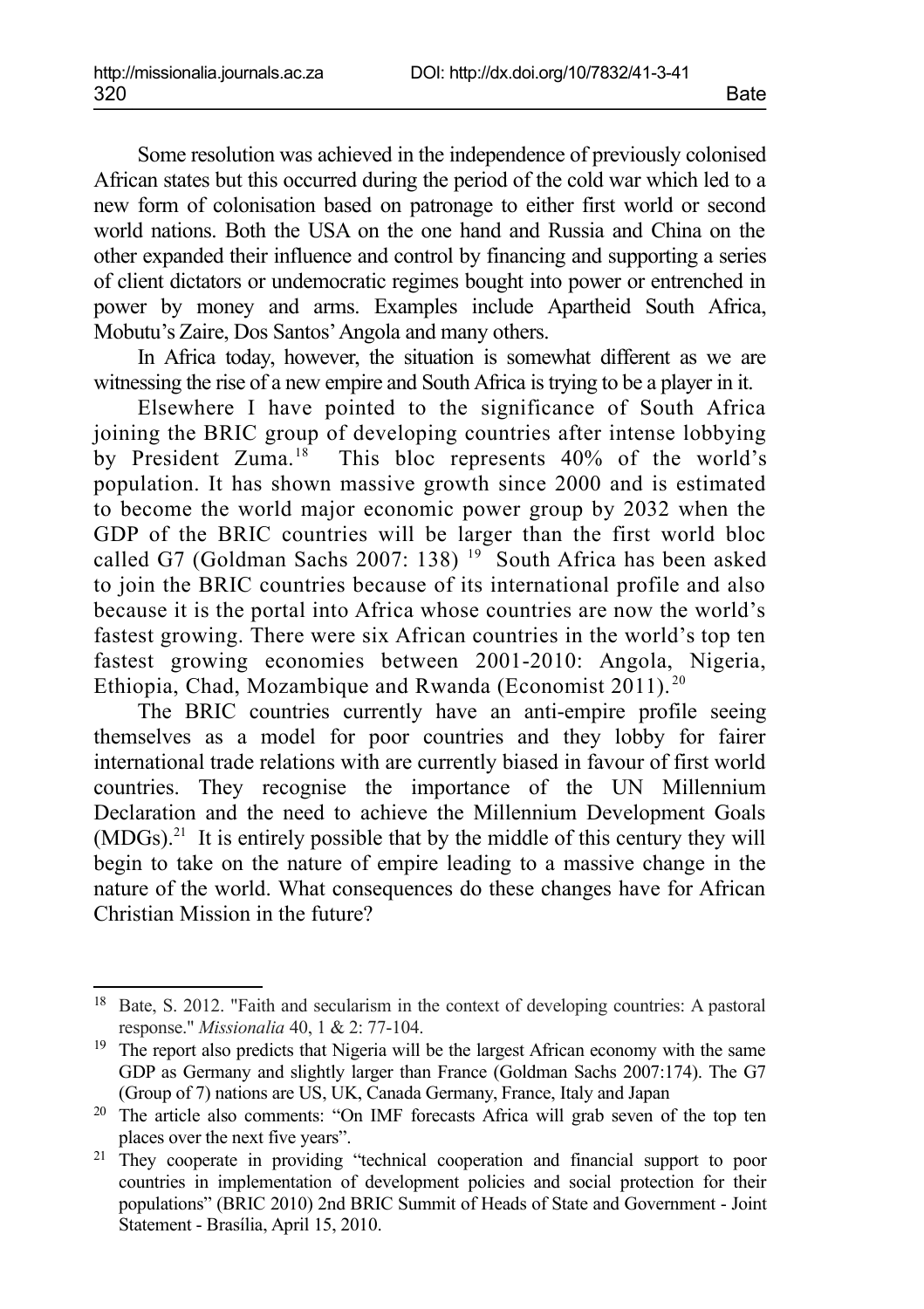Some resolution was achieved in the independence of previously colonised African states but this occurred during the period of the cold war which led to a new form of colonisation based on patronage to either first world or second world nations. Both the USA on the one hand and Russia and China on the other expanded their influence and control by financing and supporting a series of client dictators or undemocratic regimes bought into power or entrenched in power by money and arms. Examples include Apartheid South Africa, Mobutu's Zaire, Dos Santos' Angola and many others.

In Africa today, however, the situation is somewhat different as we are witnessing the rise of a new empire and South Africa is trying to be a player in it.

Elsewhere I have pointed to the significance of South Africa joining the BRIC group of developing countries after intense lobbying by President Zuma.<sup>[18](#page-13-0)</sup> This bloc represents 40% of the world's population. It has shown massive growth since 2000 and is estimated to become the world major economic power group by 2032 when the GDP of the BRIC countries will be larger than the first world bloc called G7 (Goldman Sachs 2007: 138)<sup>[19](#page-13-1)</sup> South Africa has been asked to join the BRIC countries because of its international profile and also because it is the portal into Africa whose countries are now the world's fastest growing. There were six African countries in the world's top ten fastest growing economies between 2001-2010: Angola, Nigeria, Ethiopia, Chad, Mozambique and Rwanda (Economist 2011). [20](#page-13-2)

The BRIC countries currently have an anti-empire profile seeing themselves as a model for poor countries and they lobby for fairer international trade relations with are currently biased in favour of first world countries. They recognise the importance of the UN Millennium Declaration and the need to achieve the Millennium Development Goals  $(MDGs)$ <sup>[21](#page-13-3)</sup>. It is entirely possible that by the middle of this century they will begin to take on the nature of empire leading to a massive change in the nature of the world. What consequences do these changes have for African Christian Mission in the future?

<span id="page-13-0"></span><sup>18</sup> Bate, S. 2012. "Faith and secularism in the context of developing countries: A pastoral response." *Missionalia* 40, 1 & 2: 77-104.

<span id="page-13-1"></span><sup>&</sup>lt;sup>19</sup> The report also predicts that Nigeria will be the largest African economy with the same GDP as Germany and slightly larger than France (Goldman Sachs 2007:174). The G7 (Group of 7) nations are US, UK, Canada Germany, France, Italy and Japan

<span id="page-13-2"></span><sup>20</sup> The article also comments: "On IMF forecasts Africa will grab seven of the top ten places over the next five years".

<span id="page-13-3"></span><sup>&</sup>lt;sup>21</sup> They cooperate in providing "technical cooperation and financial support to poor countries in implementation of development policies and social protection for their populations" (BRIC 2010) 2nd BRIC Summit of Heads of State and Government - Joint Statement - Brasília, April 15, 2010.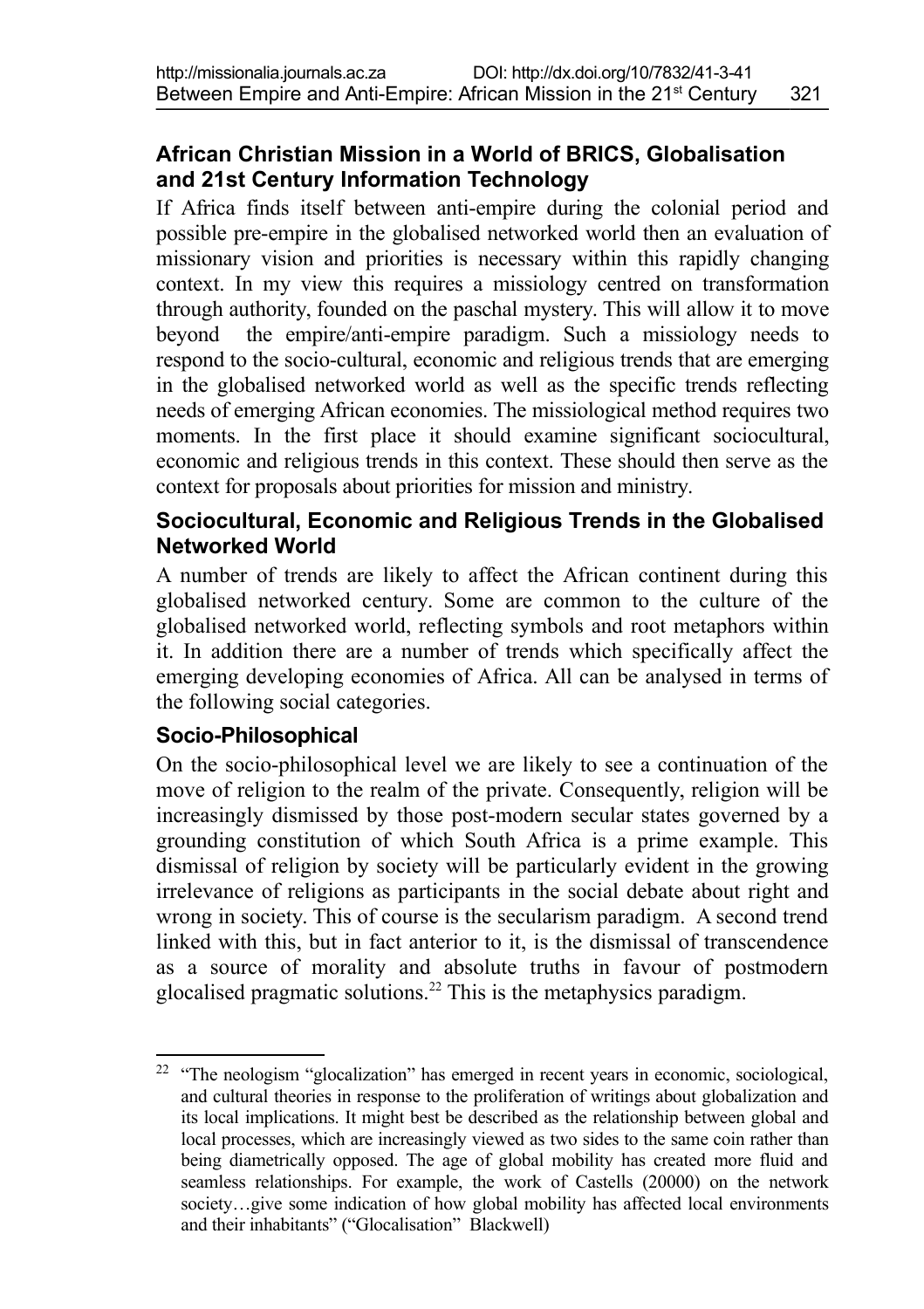### **African Christian Mission in a World of BRICS, Globalisation and 21st Century Information Technology**

If Africa finds itself between anti-empire during the colonial period and possible pre-empire in the globalised networked world then an evaluation of missionary vision and priorities is necessary within this rapidly changing context. In my view this requires a missiology centred on transformation through authority, founded on the paschal mystery. This will allow it to move beyond the empire/anti-empire paradigm. Such a missiology needs to respond to the socio-cultural, economic and religious trends that are emerging in the globalised networked world as well as the specific trends reflecting needs of emerging African economies. The missiological method requires two moments. In the first place it should examine significant sociocultural, economic and religious trends in this context. These should then serve as the context for proposals about priorities for mission and ministry.

#### **Sociocultural, Economic and Religious Trends in the Globalised Networked World**

A number of trends are likely to affect the African continent during this globalised networked century. Some are common to the culture of the globalised networked world, reflecting symbols and root metaphors within it. In addition there are a number of trends which specifically affect the emerging developing economies of Africa. All can be analysed in terms of the following social categories.

#### **Socio-Philosophical**

On the socio-philosophical level we are likely to see a continuation of the move of religion to the realm of the private. Consequently, religion will be increasingly dismissed by those post-modern secular states governed by a grounding constitution of which South Africa is a prime example. This dismissal of religion by society will be particularly evident in the growing irrelevance of religions as participants in the social debate about right and wrong in society. This of course is the secularism paradigm. A second trend linked with this, but in fact anterior to it, is the dismissal of transcendence as a source of morality and absolute truths in favour of postmodern glocalised pragmatic solutions.[22](#page-14-0) This is the metaphysics paradigm.

<span id="page-14-0"></span><sup>&</sup>lt;sup>22</sup> "The neologism "glocalization" has emerged in recent years in economic, sociological, and cultural theories in response to the proliferation of writings about globalization and its local implications. It might best be described as the relationship between global and local processes, which are increasingly viewed as two sides to the same coin rather than being diametrically opposed. The age of global mobility has created more fluid and seamless relationships. For example, the work of Castells (20000) on the network society...give some indication of how global mobility has affected local environments and their inhabitants" ("Glocalisation" Blackwell)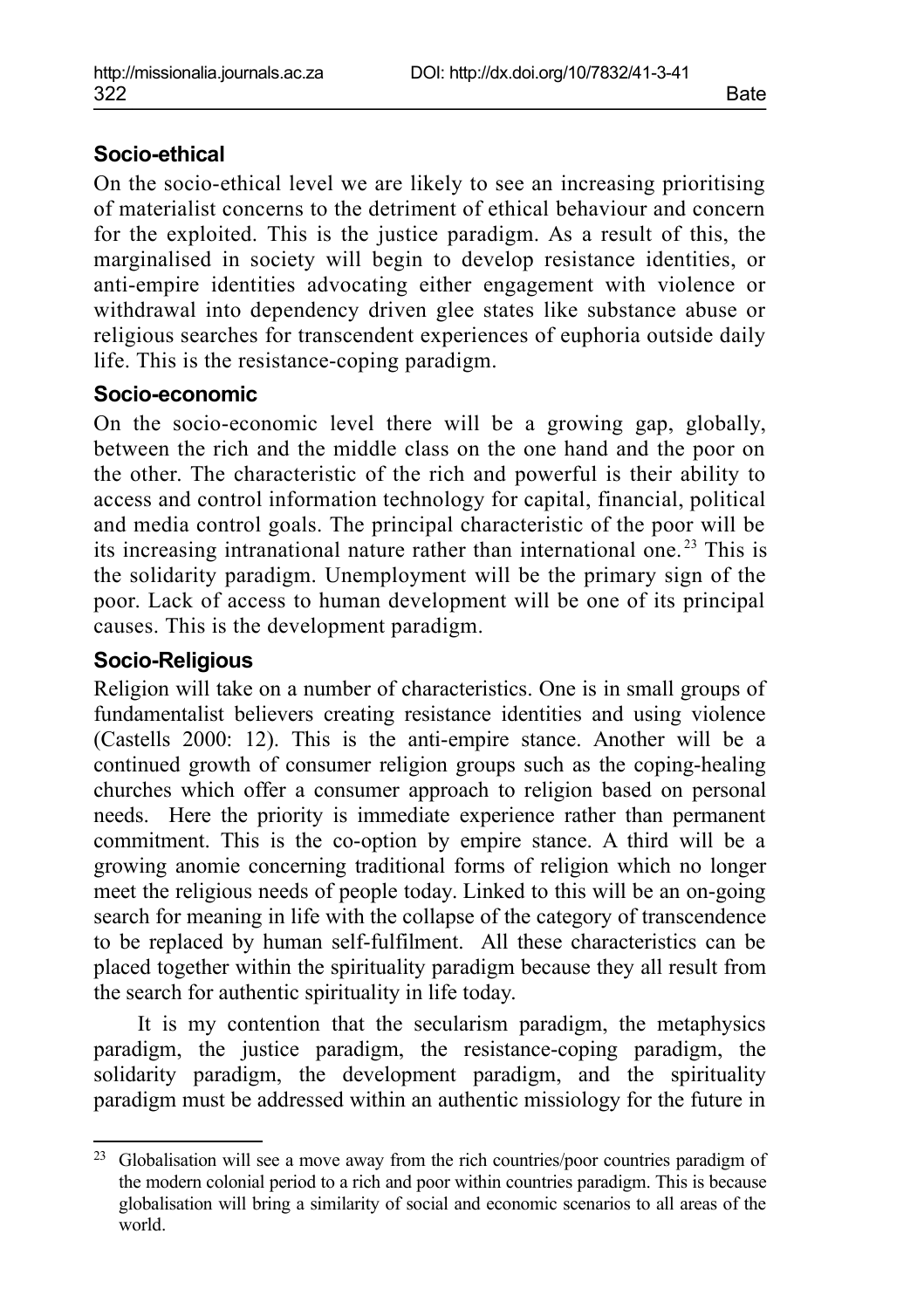#### **Socio-ethical**

On the socio-ethical level we are likely to see an increasing prioritising of materialist concerns to the detriment of ethical behaviour and concern for the exploited. This is the justice paradigm. As a result of this, the marginalised in society will begin to develop resistance identities, or anti-empire identities advocating either engagement with violence or withdrawal into dependency driven glee states like substance abuse or religious searches for transcendent experiences of euphoria outside daily life. This is the resistance-coping paradigm.

#### **Socio-economic**

On the socio-economic level there will be a growing gap, globally, between the rich and the middle class on the one hand and the poor on the other. The characteristic of the rich and powerful is their ability to access and control information technology for capital, financial, political and media control goals. The principal characteristic of the poor will be its increasing intranational nature rather than international one. [23](#page-15-0) This is the solidarity paradigm. Unemployment will be the primary sign of the poor. Lack of access to human development will be one of its principal causes. This is the development paradigm.

#### **Socio-Religious**

Religion will take on a number of characteristics. One is in small groups of fundamentalist believers creating resistance identities and using violence (Castells 2000: 12). This is the anti-empire stance. Another will be a continued growth of consumer religion groups such as the coping-healing churches which offer a consumer approach to religion based on personal needs. Here the priority is immediate experience rather than permanent commitment. This is the co-option by empire stance. A third will be a growing anomie concerning traditional forms of religion which no longer meet the religious needs of people today. Linked to this will be an on-going search for meaning in life with the collapse of the category of transcendence to be replaced by human self-fulfilment. All these characteristics can be placed together within the spirituality paradigm because they all result from the search for authentic spirituality in life today.

It is my contention that the secularism paradigm, the metaphysics paradigm, the justice paradigm, the resistance-coping paradigm, the solidarity paradigm, the development paradigm, and the spirituality paradigm must be addressed within an authentic missiology for the future in

<span id="page-15-0"></span><sup>&</sup>lt;sup>23</sup> Globalisation will see a move away from the rich countries/poor countries paradigm of the modern colonial period to a rich and poor within countries paradigm. This is because globalisation will bring a similarity of social and economic scenarios to all areas of the world.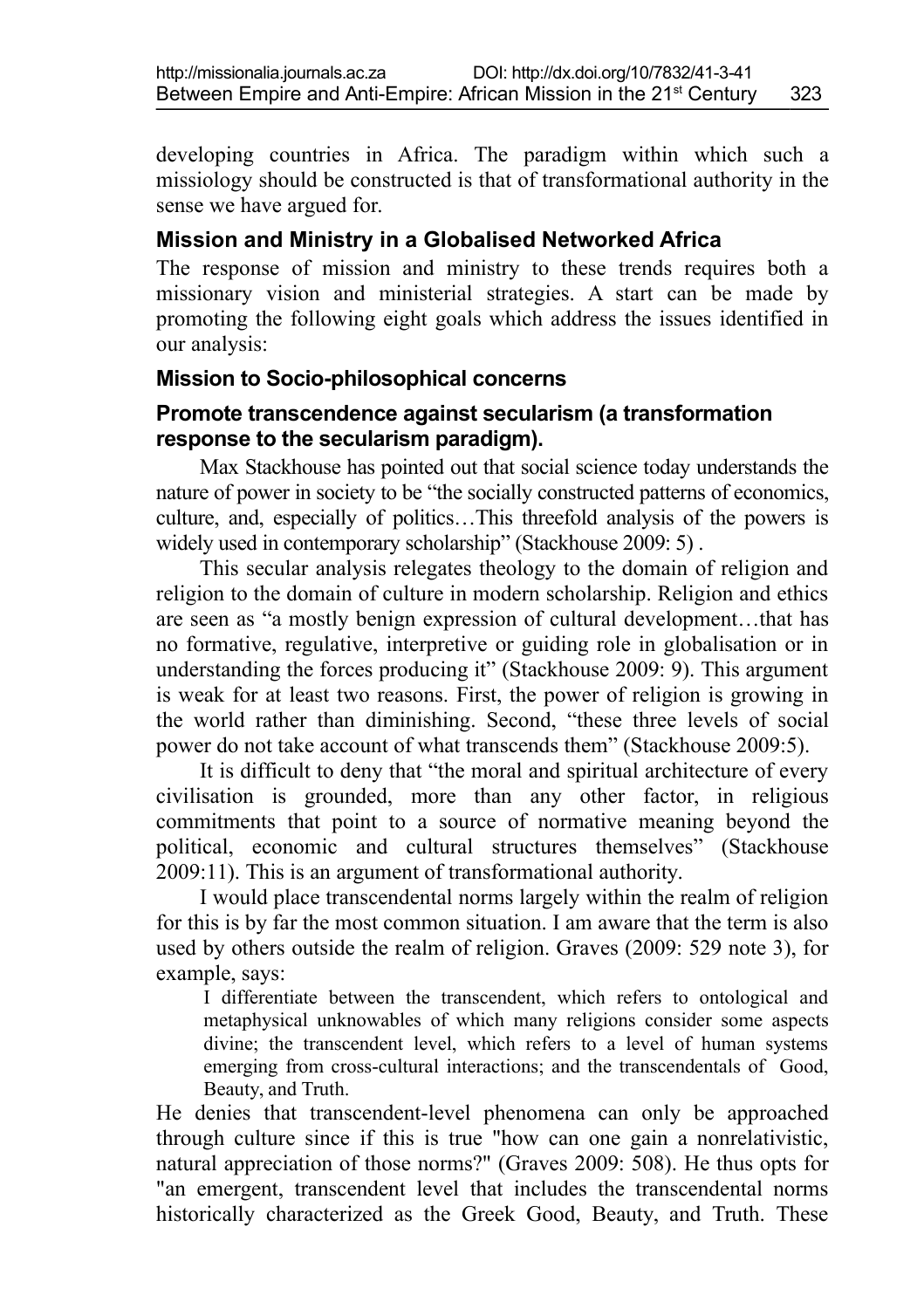developing countries in Africa. The paradigm within which such a missiology should be constructed is that of transformational authority in the sense we have argued for.

#### **Mission and Ministry in a Globalised Networked Africa**

The response of mission and ministry to these trends requires both a missionary vision and ministerial strategies. A start can be made by promoting the following eight goals which address the issues identified in our analysis:

#### **Mission to Socio-philosophical concerns**

#### **Promote transcendence against secularism (a transformation response to the secularism paradigm).**

Max Stackhouse has pointed out that social science today understands the nature of power in society to be "the socially constructed patterns of economics, culture, and, especially of politics…This threefold analysis of the powers is widely used in contemporary scholarship" (Stackhouse 2009: 5).

This secular analysis relegates theology to the domain of religion and religion to the domain of culture in modern scholarship. Religion and ethics are seen as "a mostly benign expression of cultural development…that has no formative, regulative, interpretive or guiding role in globalisation or in understanding the forces producing it" (Stackhouse 2009: 9). This argument is weak for at least two reasons. First, the power of religion is growing in the world rather than diminishing. Second, "these three levels of social power do not take account of what transcends them" (Stackhouse 2009:5).

It is difficult to deny that "the moral and spiritual architecture of every civilisation is grounded, more than any other factor, in religious commitments that point to a source of normative meaning beyond the political, economic and cultural structures themselves" (Stackhouse 2009:11). This is an argument of transformational authority.

I would place transcendental norms largely within the realm of religion for this is by far the most common situation. I am aware that the term is also used by others outside the realm of religion. Graves (2009: 529 note 3), for example, says:

I differentiate between the transcendent, which refers to ontological and metaphysical unknowables of which many religions consider some aspects divine; the transcendent level, which refers to a level of human systems emerging from cross-cultural interactions; and the transcendentals of Good, Beauty, and Truth.

He denies that transcendent-level phenomena can only be approached through culture since if this is true "how can one gain a nonrelativistic, natural appreciation of those norms?" (Graves 2009: 508). He thus opts for "an emergent, transcendent level that includes the transcendental norms historically characterized as the Greek Good, Beauty, and Truth. These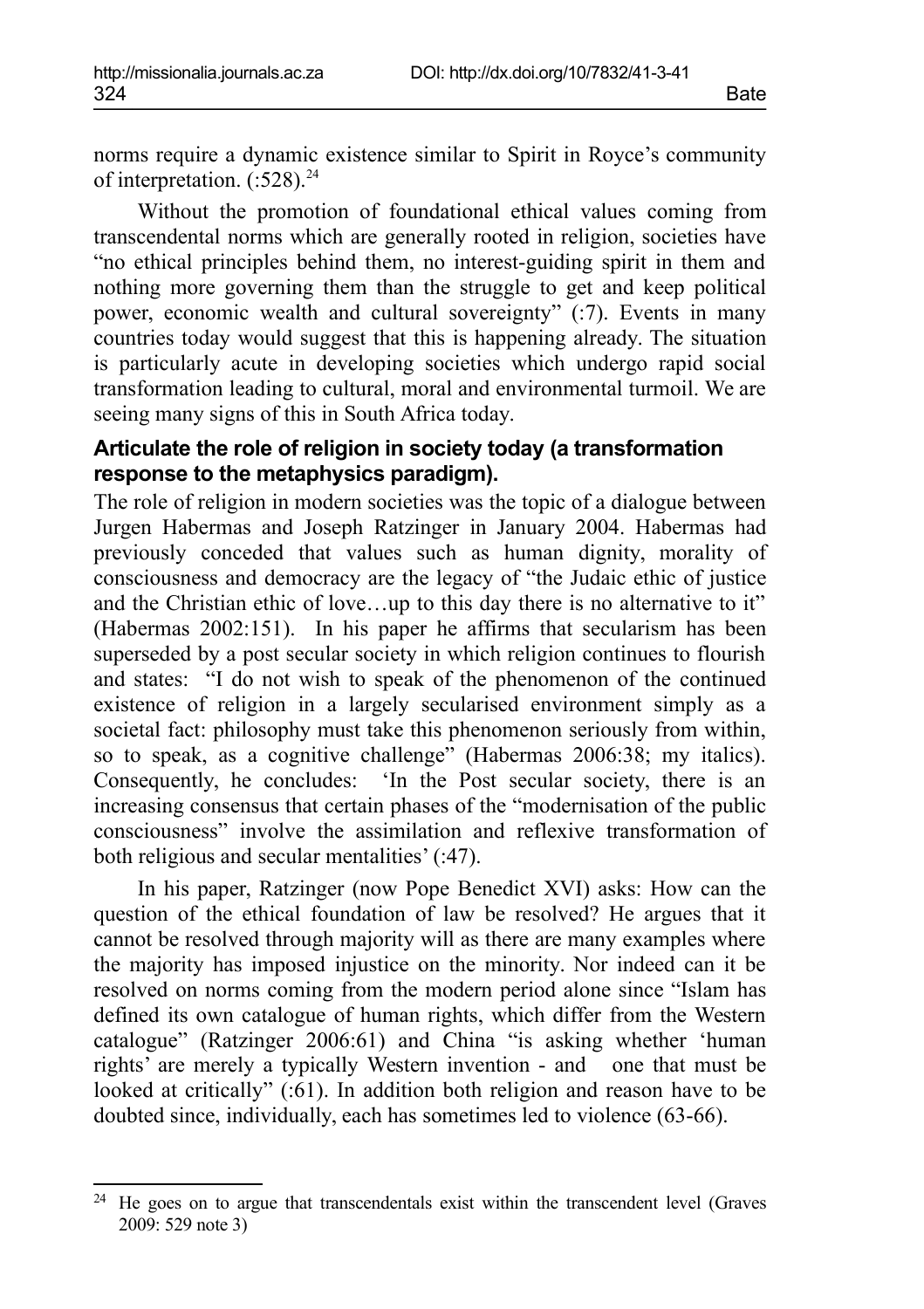norms require a dynamic existence similar to Spirit in Royce's community of interpretation.  $(.528)^{24}$  $(.528)^{24}$  $(.528)^{24}$ 

Without the promotion of foundational ethical values coming from transcendental norms which are generally rooted in religion, societies have "no ethical principles behind them, no interest-guiding spirit in them and nothing more governing them than the struggle to get and keep political power, economic wealth and cultural sovereignty" (:7). Events in many countries today would suggest that this is happening already. The situation is particularly acute in developing societies which undergo rapid social transformation leading to cultural, moral and environmental turmoil. We are seeing many signs of this in South Africa today.

### **Articulate the role of religion in society today (a transformation response to the metaphysics paradigm).**

The role of religion in modern societies was the topic of a dialogue between Jurgen Habermas and Joseph Ratzinger in January 2004. Habermas had previously conceded that values such as human dignity, morality of consciousness and democracy are the legacy of "the Judaic ethic of justice and the Christian ethic of love…up to this day there is no alternative to it" (Habermas 2002:151). In his paper he affirms that secularism has been superseded by a post secular society in which religion continues to flourish and states: "I do not wish to speak of the phenomenon of the continued existence of religion in a largely secularised environment simply as a societal fact: philosophy must take this phenomenon seriously from within, so to speak, as a cognitive challenge" (Habermas 2006:38; my italics). Consequently, he concludes: 'In the Post secular society, there is an increasing consensus that certain phases of the "modernisation of the public consciousness" involve the assimilation and reflexive transformation of both religious and secular mentalities' (:47).

In his paper, Ratzinger (now Pope Benedict XVI) asks: How can the question of the ethical foundation of law be resolved? He argues that it cannot be resolved through majority will as there are many examples where the majority has imposed injustice on the minority. Nor indeed can it be resolved on norms coming from the modern period alone since "Islam has defined its own catalogue of human rights, which differ from the Western catalogue" (Ratzinger 2006:61) and China "is asking whether 'human rights' are merely a typically Western invention - and one that must be looked at critically" (:61). In addition both religion and reason have to be doubted since, individually, each has sometimes led to violence (63-66).

<span id="page-17-0"></span> $24$  He goes on to argue that transcendentals exist within the transcendent level (Graves 2009: 529 note 3)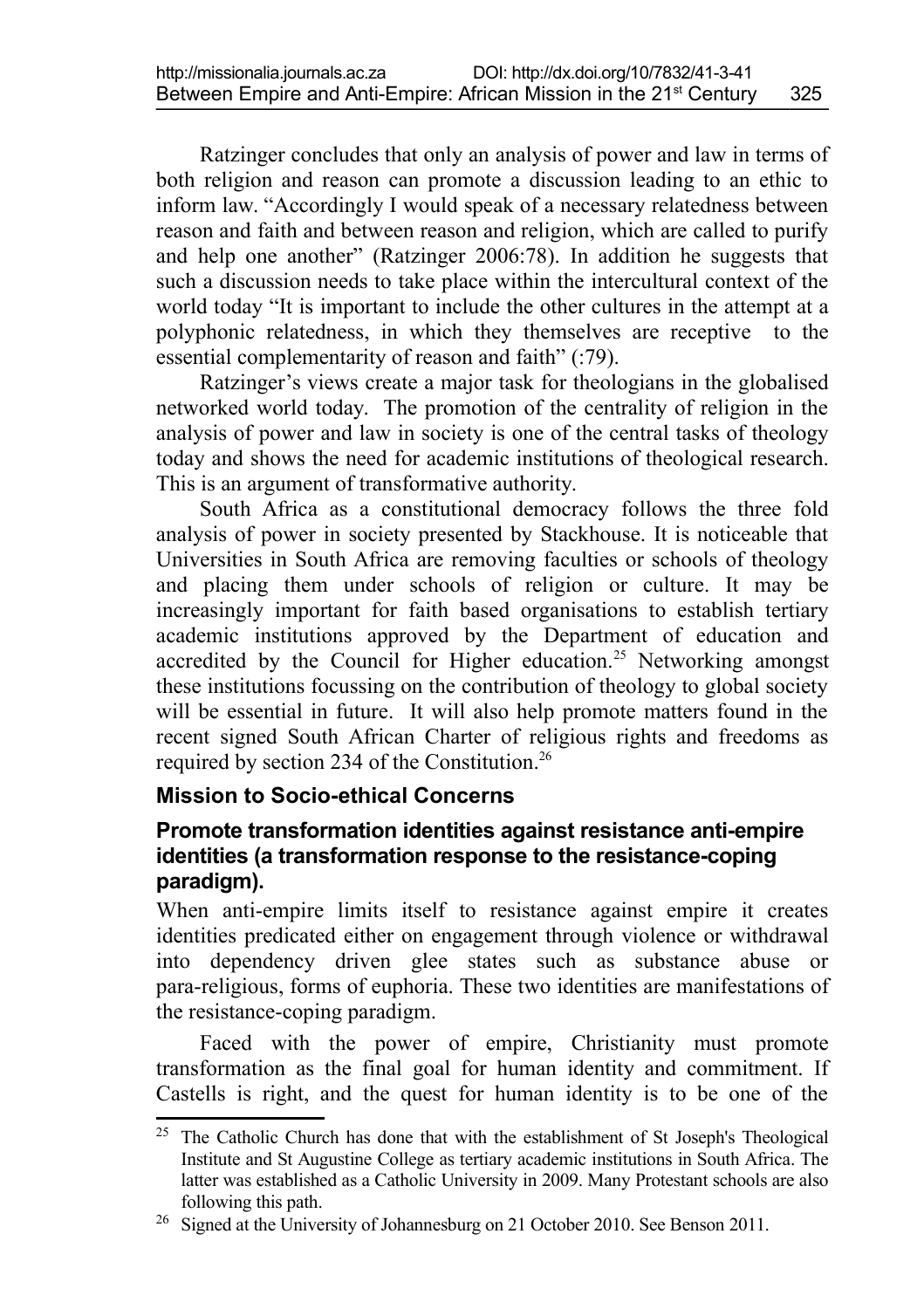Ratzinger concludes that only an analysis of power and law in terms of both religion and reason can promote a discussion leading to an ethic to inform law. "Accordingly I would speak of a necessary relatedness between reason and faith and between reason and religion, which are called to purify and help one another" (Ratzinger 2006:78). In addition he suggests that such a discussion needs to take place within the intercultural context of the world today "It is important to include the other cultures in the attempt at a polyphonic relatedness, in which they themselves are receptive to the essential complementarity of reason and faith" (:79).

Ratzinger's views create a major task for theologians in the globalised networked world today. The promotion of the centrality of religion in the analysis of power and law in society is one of the central tasks of theology today and shows the need for academic institutions of theological research. This is an argument of transformative authority.

South Africa as a constitutional democracy follows the three fold analysis of power in society presented by Stackhouse. It is noticeable that Universities in South Africa are removing faculties or schools of theology and placing them under schools of religion or culture. It may be increasingly important for faith based organisations to establish tertiary academic institutions approved by the Department of education and accredited by the Council for Higher education.<sup>[25](#page-18-0)</sup> Networking amongst these institutions focussing on the contribution of theology to global society will be essential in future. It will also help promote matters found in the recent signed South African Charter of religious rights and freedoms as required by section 234 of the Constitution.[26](#page-18-1)

#### **Mission to Socio-ethical Concerns**

#### **Promote transformation identities against resistance anti-empire identities (a transformation response to the resistance-coping paradigm).**

When anti-empire limits itself to resistance against empire it creates identities predicated either on engagement through violence or withdrawal into dependency driven glee states such as substance abuse or para-religious, forms of euphoria. These two identities are manifestations of the resistance-coping paradigm.

Faced with the power of empire, Christianity must promote transformation as the final goal for human identity and commitment. If Castells is right, and the quest for human identity is to be one of the

<span id="page-18-0"></span><sup>&</sup>lt;sup>25</sup> The Catholic Church has done that with the establishment of St Joseph's Theological Institute and St Augustine College as tertiary academic institutions in South Africa. The latter was established as a Catholic University in 2009. Many Protestant schools are also following this path.

<span id="page-18-1"></span><sup>&</sup>lt;sup>26</sup> Signed at the University of Johannesburg on 21 October 2010. See Benson 2011.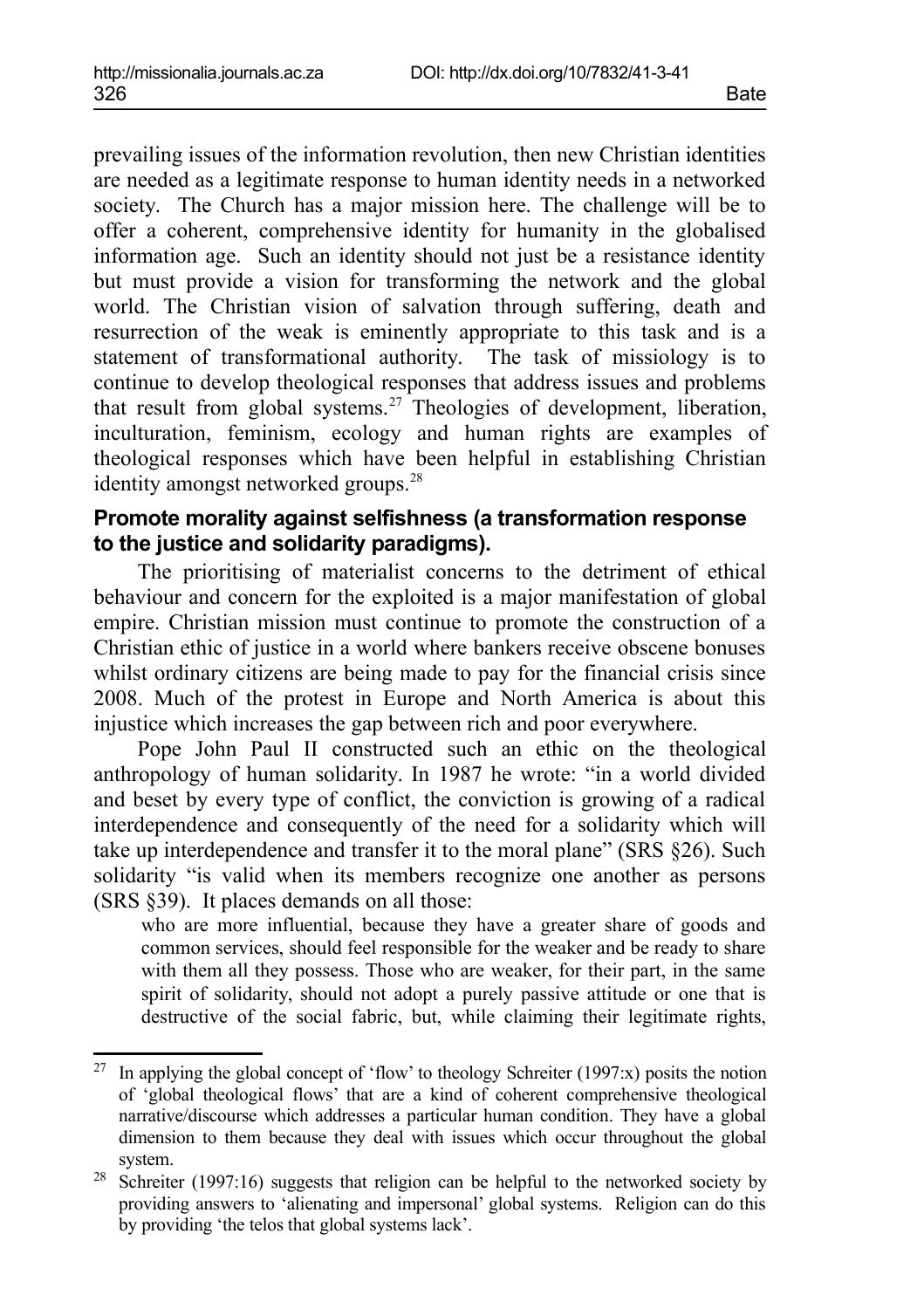prevailing issues of the information revolution, then new Christian identities are needed as a legitimate response to human identity needs in a networked society. The Church has a major mission here. The challenge will be to offer a coherent, comprehensive identity for humanity in the globalised information age. Such an identity should not just be a resistance identity but must provide a vision for transforming the network and the global world. The Christian vision of salvation through suffering, death and resurrection of the weak is eminently appropriate to this task and is a statement of transformational authority. The task of missiology is to continue to develop theological responses that address issues and problems that result from global systems.[27](#page-19-0) Theologies of development, liberation, inculturation, feminism, ecology and human rights are examples of theological responses which have been helpful in establishing Christian identity amongst networked groups.<sup>[28](#page-19-1)</sup>

#### **Promote morality against selfishness (a transformation response to the justice and solidarity paradigms).**

The prioritising of materialist concerns to the detriment of ethical behaviour and concern for the exploited is a major manifestation of global empire. Christian mission must continue to promote the construction of a Christian ethic of justice in a world where bankers receive obscene bonuses whilst ordinary citizens are being made to pay for the financial crisis since 2008. Much of the protest in Europe and North America is about this injustice which increases the gap between rich and poor everywhere.

Pope John Paul II constructed such an ethic on the theological anthropology of human solidarity. In 1987 he wrote: "in a world divided and beset by every type of conflict, the conviction is growing of a radical interdependence and consequently of the need for a solidarity which will take up interdependence and transfer it to the moral plane" (SRS §26). Such solidarity "is valid when its members recognize one another as persons (SRS §39). It places demands on all those:

who are more influential, because they have a greater share of goods and common services, should feel responsible for the weaker and be ready to share with them all they possess. Those who are weaker, for their part, in the same spirit of solidarity, should not adopt a purely passive attitude or one that is destructive of the social fabric, but, while claiming their legitimate rights,

<span id="page-19-0"></span><sup>27</sup> In applying the global concept of 'flow' to theology Schreiter (1997:x) posits the notion of 'global theological flows' that are a kind of coherent comprehensive theological narrative/discourse which addresses a particular human condition. They have a global dimension to them because they deal with issues which occur throughout the global system.

<span id="page-19-1"></span><sup>&</sup>lt;sup>28</sup> Schreiter (1997:16) suggests that religion can be helpful to the networked society by providing answers to 'alienating and impersonal' global systems. Religion can do this by providing 'the telos that global systems lack'.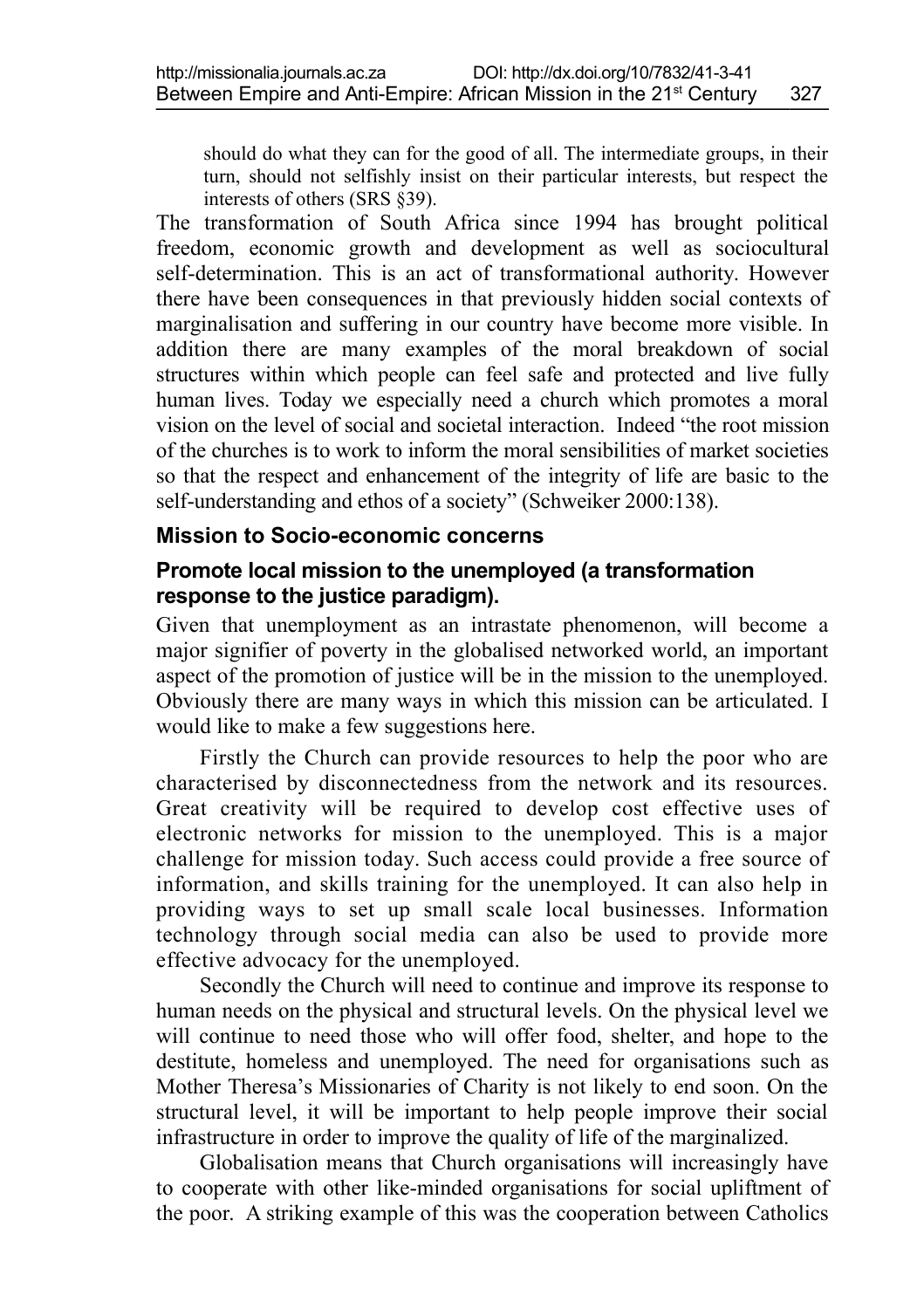should do what they can for the good of all. The intermediate groups, in their turn, should not selfishly insist on their particular interests, but respect the interests of others (SRS §39).

The transformation of South Africa since 1994 has brought political freedom, economic growth and development as well as sociocultural self-determination. This is an act of transformational authority. However there have been consequences in that previously hidden social contexts of marginalisation and suffering in our country have become more visible. In addition there are many examples of the moral breakdown of social structures within which people can feel safe and protected and live fully human lives. Today we especially need a church which promotes a moral vision on the level of social and societal interaction. Indeed "the root mission of the churches is to work to inform the moral sensibilities of market societies so that the respect and enhancement of the integrity of life are basic to the self-understanding and ethos of a society" (Schweiker 2000:138).

#### **Mission to Socio-economic concerns**

#### **Promote local mission to the unemployed (a transformation response to the justice paradigm).**

Given that unemployment as an intrastate phenomenon, will become a major signifier of poverty in the globalised networked world, an important aspect of the promotion of justice will be in the mission to the unemployed. Obviously there are many ways in which this mission can be articulated. I would like to make a few suggestions here.

Firstly the Church can provide resources to help the poor who are characterised by disconnectedness from the network and its resources. Great creativity will be required to develop cost effective uses of electronic networks for mission to the unemployed. This is a major challenge for mission today. Such access could provide a free source of information, and skills training for the unemployed. It can also help in providing ways to set up small scale local businesses. Information technology through social media can also be used to provide more effective advocacy for the unemployed.

Secondly the Church will need to continue and improve its response to human needs on the physical and structural levels. On the physical level we will continue to need those who will offer food, shelter, and hope to the destitute, homeless and unemployed. The need for organisations such as Mother Theresa's Missionaries of Charity is not likely to end soon. On the structural level, it will be important to help people improve their social infrastructure in order to improve the quality of life of the marginalized.

Globalisation means that Church organisations will increasingly have to cooperate with other like-minded organisations for social upliftment of the poor. A striking example of this was the cooperation between Catholics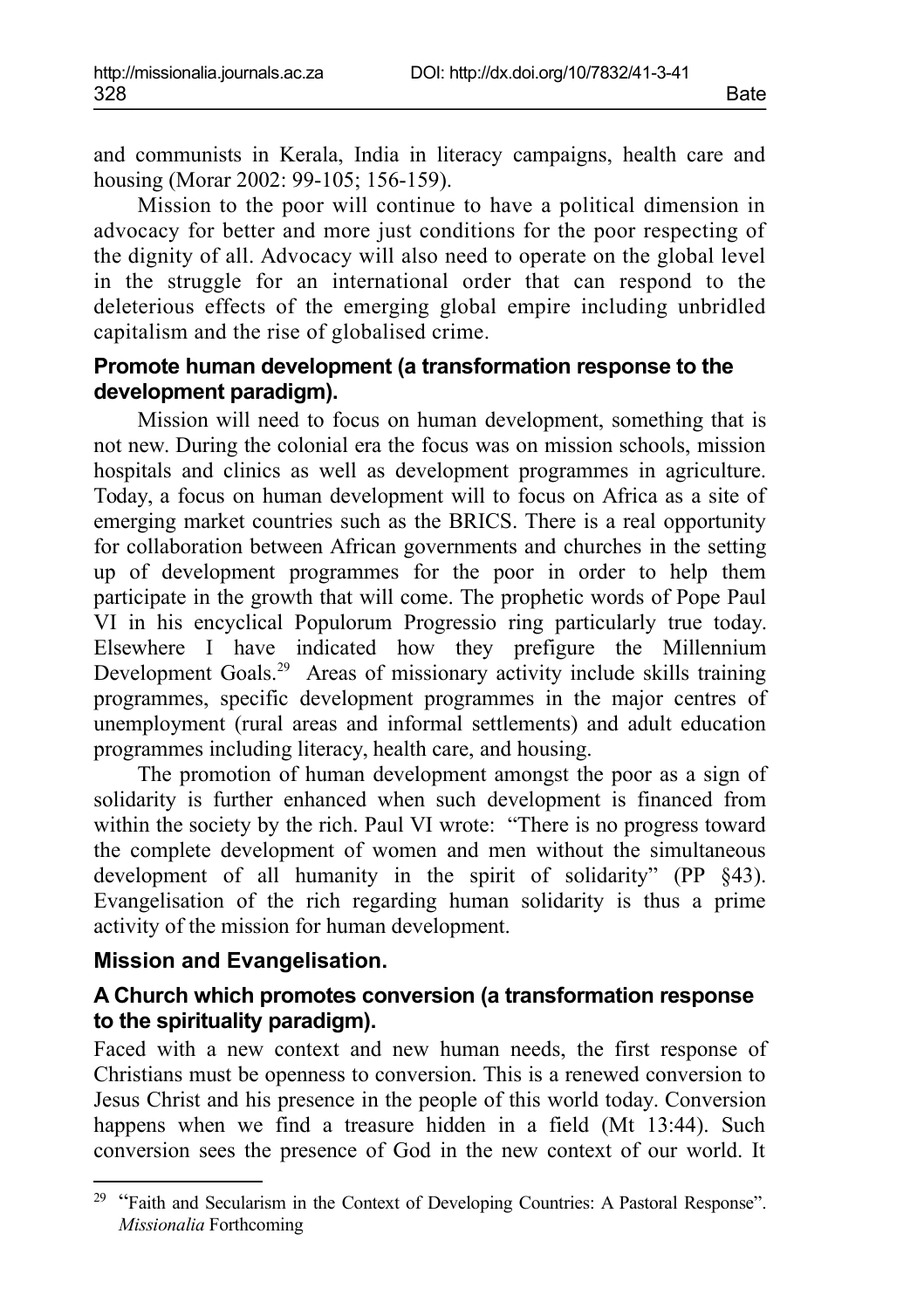and communists in Kerala, India in literacy campaigns, health care and housing (Morar 2002: 99-105; 156-159).

Mission to the poor will continue to have a political dimension in advocacy for better and more just conditions for the poor respecting of the dignity of all. Advocacy will also need to operate on the global level in the struggle for an international order that can respond to the deleterious effects of the emerging global empire including unbridled capitalism and the rise of globalised crime.

#### **Promote human development (a transformation response to the development paradigm).**

Mission will need to focus on human development, something that is not new. During the colonial era the focus was on mission schools, mission hospitals and clinics as well as development programmes in agriculture. Today, a focus on human development will to focus on Africa as a site of emerging market countries such as the BRICS. There is a real opportunity for collaboration between African governments and churches in the setting up of development programmes for the poor in order to help them participate in the growth that will come. The prophetic words of Pope Paul VI in his encyclical Populorum Progressio ring particularly true today. Elsewhere I have indicated how they prefigure the Millennium Development Goals.<sup>[29](#page-21-0)</sup> Areas of missionary activity include skills training programmes, specific development programmes in the major centres of unemployment (rural areas and informal settlements) and adult education programmes including literacy, health care, and housing.

The promotion of human development amongst the poor as a sign of solidarity is further enhanced when such development is financed from within the society by the rich. Paul VI wrote: "There is no progress toward the complete development of women and men without the simultaneous development of all humanity in the spirit of solidarity" (PP §43). Evangelisation of the rich regarding human solidarity is thus a prime activity of the mission for human development.

#### **Mission and Evangelisation.**

#### **A Church which promotes conversion (a transformation response to the spirituality paradigm).**

Faced with a new context and new human needs, the first response of Christians must be openness to conversion. This is a renewed conversion to Jesus Christ and his presence in the people of this world today. Conversion happens when we find a treasure hidden in a field (Mt 13:44). Such conversion sees the presence of God in the new context of our world. It

<span id="page-21-0"></span><sup>&</sup>lt;sup>29</sup> "Faith and Secularism in the Context of Developing Countries: A Pastoral Response". *Missionalia* Forthcoming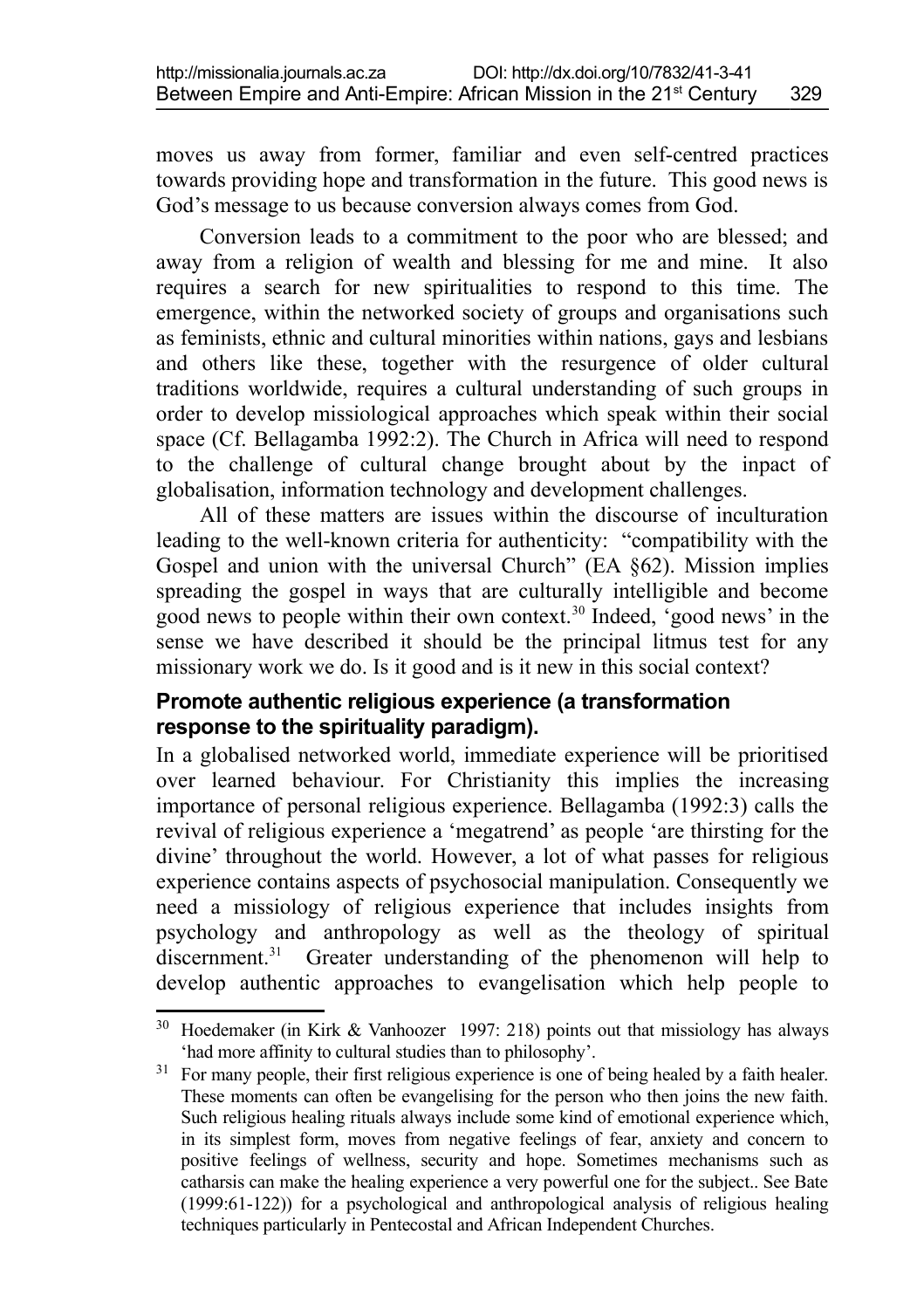moves us away from former, familiar and even self-centred practices towards providing hope and transformation in the future. This good news is God's message to us because conversion always comes from God.

Conversion leads to a commitment to the poor who are blessed; and away from a religion of wealth and blessing for me and mine. It also requires a search for new spiritualities to respond to this time. The emergence, within the networked society of groups and organisations such as feminists, ethnic and cultural minorities within nations, gays and lesbians and others like these, together with the resurgence of older cultural traditions worldwide, requires a cultural understanding of such groups in order to develop missiological approaches which speak within their social space (Cf. Bellagamba 1992:2). The Church in Africa will need to respond to the challenge of cultural change brought about by the inpact of globalisation, information technology and development challenges.

All of these matters are issues within the discourse of inculturation leading to the well-known criteria for authenticity: "compatibility with the Gospel and union with the universal Church" (EA §62). Mission implies spreading the gospel in ways that are culturally intelligible and become good news to people within their own context.[30](#page-22-0) Indeed, 'good news' in the sense we have described it should be the principal litmus test for any missionary work we do. Is it good and is it new in this social context?

#### **Promote authentic religious experience (a transformation response to the spirituality paradigm).**

In a globalised networked world, immediate experience will be prioritised over learned behaviour. For Christianity this implies the increasing importance of personal religious experience. Bellagamba (1992:3) calls the revival of religious experience a 'megatrend' as people 'are thirsting for the divine' throughout the world. However, a lot of what passes for religious experience contains aspects of psychosocial manipulation. Consequently we need a missiology of religious experience that includes insights from psychology and anthropology as well as the theology of spiritual discernment.<sup>[31](#page-22-1)</sup> Greater understanding of the phenomenon will help to develop authentic approaches to evangelisation which help people to

<span id="page-22-0"></span> $30$  Hoedemaker (in Kirk & Vanhoozer 1997: 218) points out that missiology has always 'had more affinity to cultural studies than to philosophy'.

<span id="page-22-1"></span><sup>&</sup>lt;sup>31</sup> For many people, their first religious experience is one of being healed by a faith healer. These moments can often be evangelising for the person who then joins the new faith. Such religious healing rituals always include some kind of emotional experience which, in its simplest form, moves from negative feelings of fear, anxiety and concern to positive feelings of wellness, security and hope. Sometimes mechanisms such as catharsis can make the healing experience a very powerful one for the subject.. See Bate (1999:61-122)) for a psychological and anthropological analysis of religious healing techniques particularly in Pentecostal and African Independent Churches.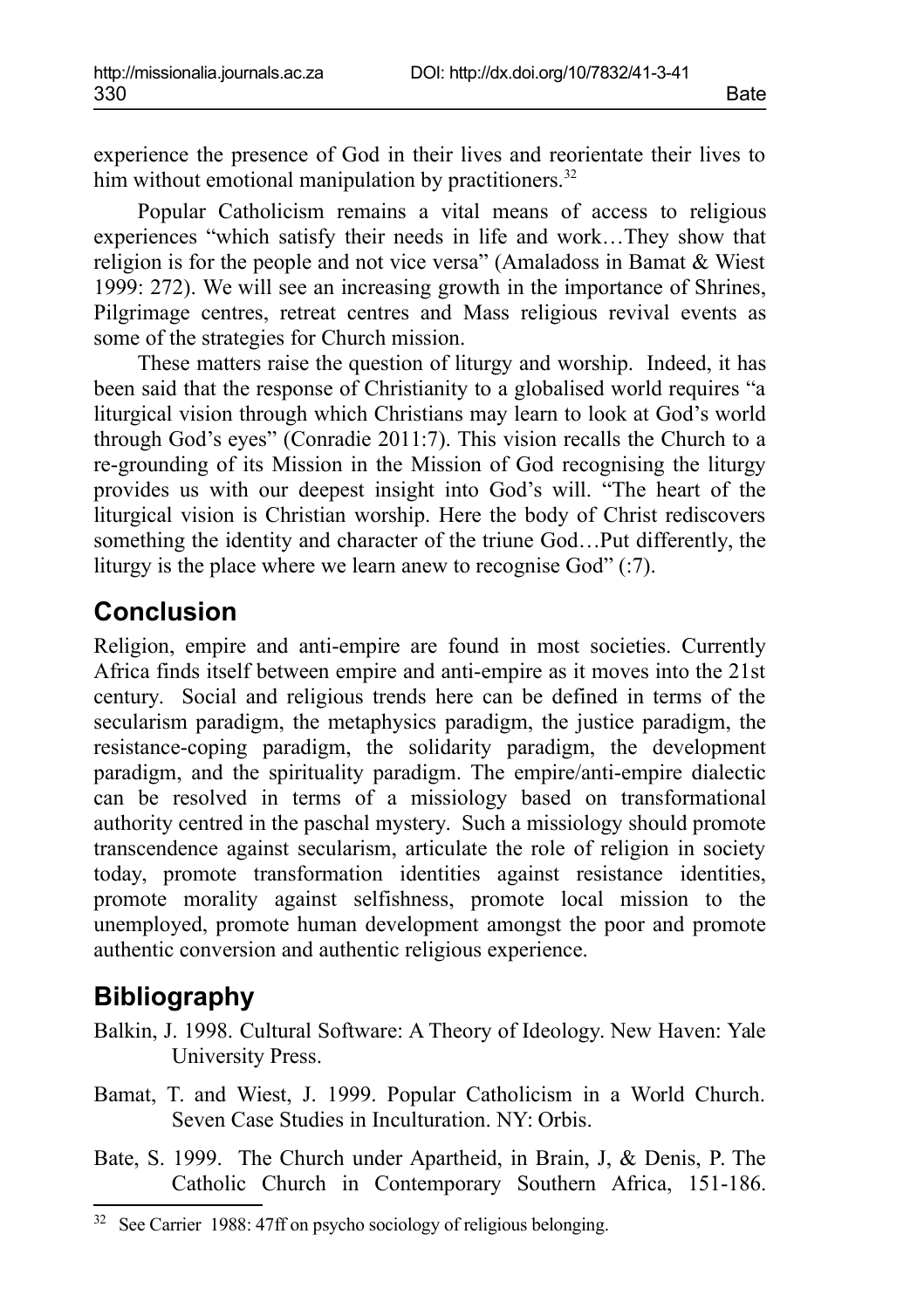experience the presence of God in their lives and reorientate their lives to him without emotional manipulation by practitioners.<sup>[32](#page-23-0)</sup>

Popular Catholicism remains a vital means of access to religious experiences "which satisfy their needs in life and work…They show that religion is for the people and not vice versa" (Amaladoss in Bamat & Wiest 1999: 272). We will see an increasing growth in the importance of Shrines, Pilgrimage centres, retreat centres and Mass religious revival events as some of the strategies for Church mission.

These matters raise the question of liturgy and worship. Indeed, it has been said that the response of Christianity to a globalised world requires "a liturgical vision through which Christians may learn to look at God's world through God's eyes" (Conradie 2011:7). This vision recalls the Church to a re-grounding of its Mission in the Mission of God recognising the liturgy provides us with our deepest insight into God's will. "The heart of the liturgical vision is Christian worship. Here the body of Christ rediscovers something the identity and character of the triune God…Put differently, the liturgy is the place where we learn anew to recognise  $God$ <sup>"</sup>  $($ :7).

## **Conclusion**

Religion, empire and anti-empire are found in most societies. Currently Africa finds itself between empire and anti-empire as it moves into the 21st century. Social and religious trends here can be defined in terms of the secularism paradigm, the metaphysics paradigm, the justice paradigm, the resistance-coping paradigm, the solidarity paradigm, the development paradigm, and the spirituality paradigm. The empire/anti-empire dialectic can be resolved in terms of a missiology based on transformational authority centred in the paschal mystery. Such a missiology should promote transcendence against secularism, articulate the role of religion in society today, promote transformation identities against resistance identities, promote morality against selfishness, promote local mission to the unemployed, promote human development amongst the poor and promote authentic conversion and authentic religious experience.

## **Bibliography**

Balkin, J. 1998. Cultural Software: A Theory of Ideology. New Haven: Yale University Press.

- Bamat, T. and Wiest, J. 1999. Popular Catholicism in a World Church. Seven Case Studies in Inculturation. NY: Orbis.
- Bate, S. 1999. The Church under Apartheid, in Brain, J, & Denis, P. The Catholic Church in Contemporary Southern Africa, 151-186.

<span id="page-23-0"></span><sup>32</sup> See Carrier 1988: 47ff on psycho sociology of religious belonging.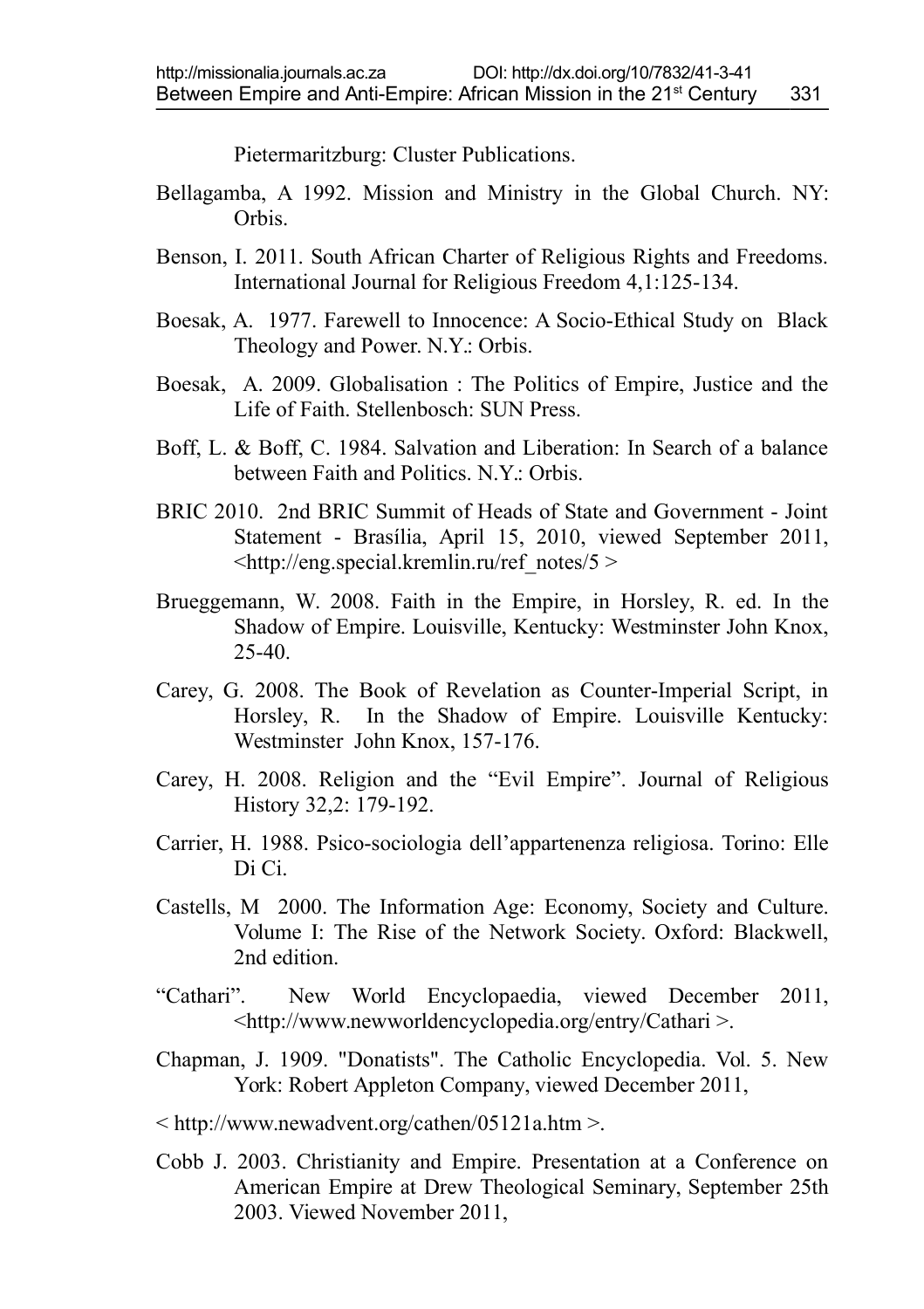Pietermaritzburg: Cluster Publications.

- Bellagamba, A 1992. Mission and Ministry in the Global Church. NY: Orbis.
- Benson, I. 2011. South African Charter of Religious Rights and Freedoms. International Journal for Religious Freedom 4,1:125-134.
- Boesak, A. 1977. Farewell to Innocence: A Socio-Ethical Study on Black Theology and Power. N.Y.: Orbis.
- Boesak, A. 2009. Globalisation : The Politics of Empire, Justice and the Life of Faith. Stellenbosch: SUN Press.
- Boff, L. & Boff, C. 1984. Salvation and Liberation: In Search of a balance between Faith and Politics. N.Y.: Orbis.
- BRIC 2010. 2nd BRIC Summit of Heads of State and Government Joint Statement - Brasília, April 15, 2010, viewed September 2011,  $\lt$ http://eng.special.kremlin.ru/ref\_notes/5 >
- Brueggemann, W. 2008. Faith in the Empire, in Horsley, R. ed. In the Shadow of Empire. Louisville, Kentucky: Westminster John Knox, 25-40.
- Carey, G. 2008. The Book of Revelation as Counter-Imperial Script, in Horsley, R. In the Shadow of Empire. Louisville Kentucky: Westminster John Knox, 157-176.
- Carey, H. 2008. Religion and the "Evil Empire". Journal of Religious History 32,2: 179-192.
- Carrier, H. 1988. Psico-sociologia dell'appartenenza religiosa. Torino: Elle Di Ci.
- Castells, M 2000. The Information Age: Economy, Society and Culture. Volume I: The Rise of the Network Society. Oxford: Blackwell, 2nd edition.
- "Cathari". New World Encyclopaedia, viewed December 2011, <http://www.newworldencyclopedia.org/entry/Cathari >.
- Chapman, J. 1909. "Donatists". The Catholic Encyclopedia. Vol. 5. New York: Robert Appleton Company, viewed December 2011,
- < http://www.newadvent.org/cathen/05121a.htm >.
- Cobb J. 2003. Christianity and Empire. Presentation at a Conference on American Empire at Drew Theological Seminary, September 25th 2003. Viewed November 2011,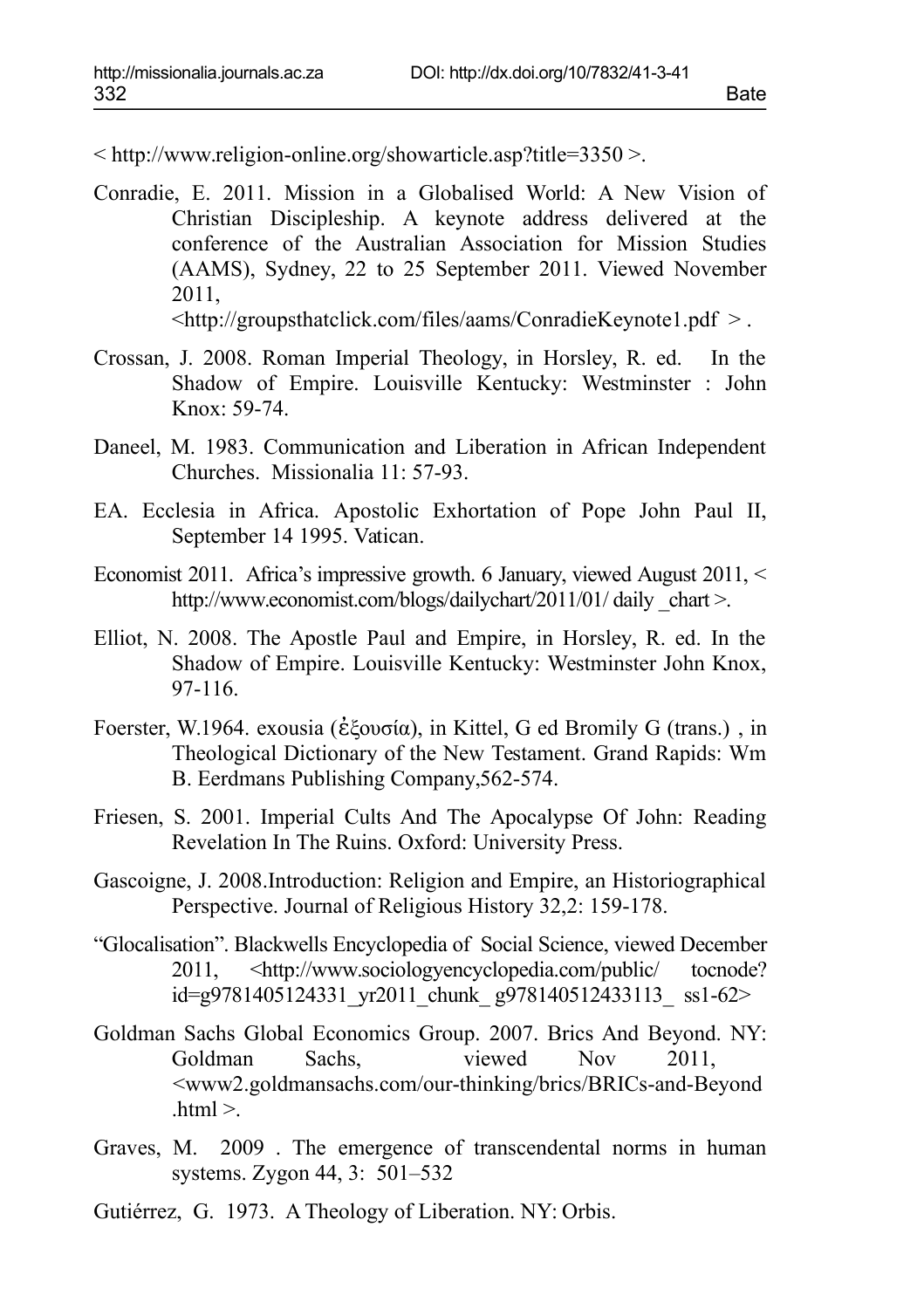< http://www.religion-online.org/showarticle.asp?title=3350 >.

- Conradie, E. 2011. Mission in a Globalised World: A New Vision of Christian Discipleship. A keynote address delivered at the conference of the Australian Association for Mission Studies (AAMS), Sydney, 22 to 25 September 2011. Viewed November 2011, <http://groupsthatclick.com/files/aams/ConradieKeynote1.pdf > .
- Crossan, J. 2008. Roman Imperial Theology, in Horsley, R. ed. In the Shadow of Empire. Louisville Kentucky: Westminster : John Knox: 59-74.
- Daneel, M. 1983. Communication and Liberation in African Independent Churches. Missionalia 11: 57-93.
- EA. Ecclesia in Africa. Apostolic Exhortation of Pope John Paul II, September 14 1995. Vatican.
- Economist 2011. Africa's impressive growth. 6 January, viewed August 2011, < http://www.economist.com/blogs/dailychart/2011/01/ daily chart >.
- Elliot, N. 2008. The Apostle Paul and Empire, in Horsley, R. ed. In the Shadow of Empire. Louisville Kentucky: Westminster John Knox, 97-116.
- Foerster, W.1964. exousia (ἐξουσία), in Kittel, G ed Bromily G (trans.) , in Theological Dictionary of the New Testament. Grand Rapids: Wm B. Eerdmans Publishing Company,562-574.
- Friesen, S. 2001. Imperial Cults And The Apocalypse Of John: Reading Revelation In The Ruins. Oxford: University Press.
- Gascoigne, J. 2008.Introduction: Religion and Empire, an Historiographical Perspective. Journal of Religious History 32,2: 159-178.
- "Glocalisation". Blackwells Encyclopedia of Social Science, viewed December 2011, <http://www.sociologyencyclopedia.com/public/ tocnode? id=g9781405124331\_yr2011\_chunk\_ g978140512433113\_ ss1-62>
- Goldman Sachs Global Economics Group. 2007. Brics And Beyond. NY: Goldman Sachs, viewed Nov 2011, <www2.goldmansachs.com/our-thinking/brics/BRICs-and-Beyond  $html$
- Graves, M. 2009 . The emergence of transcendental norms in human systems. Zygon 44, 3: 501–532
- Gutiérrez, G. 1973. A Theology of Liberation. NY: Orbis.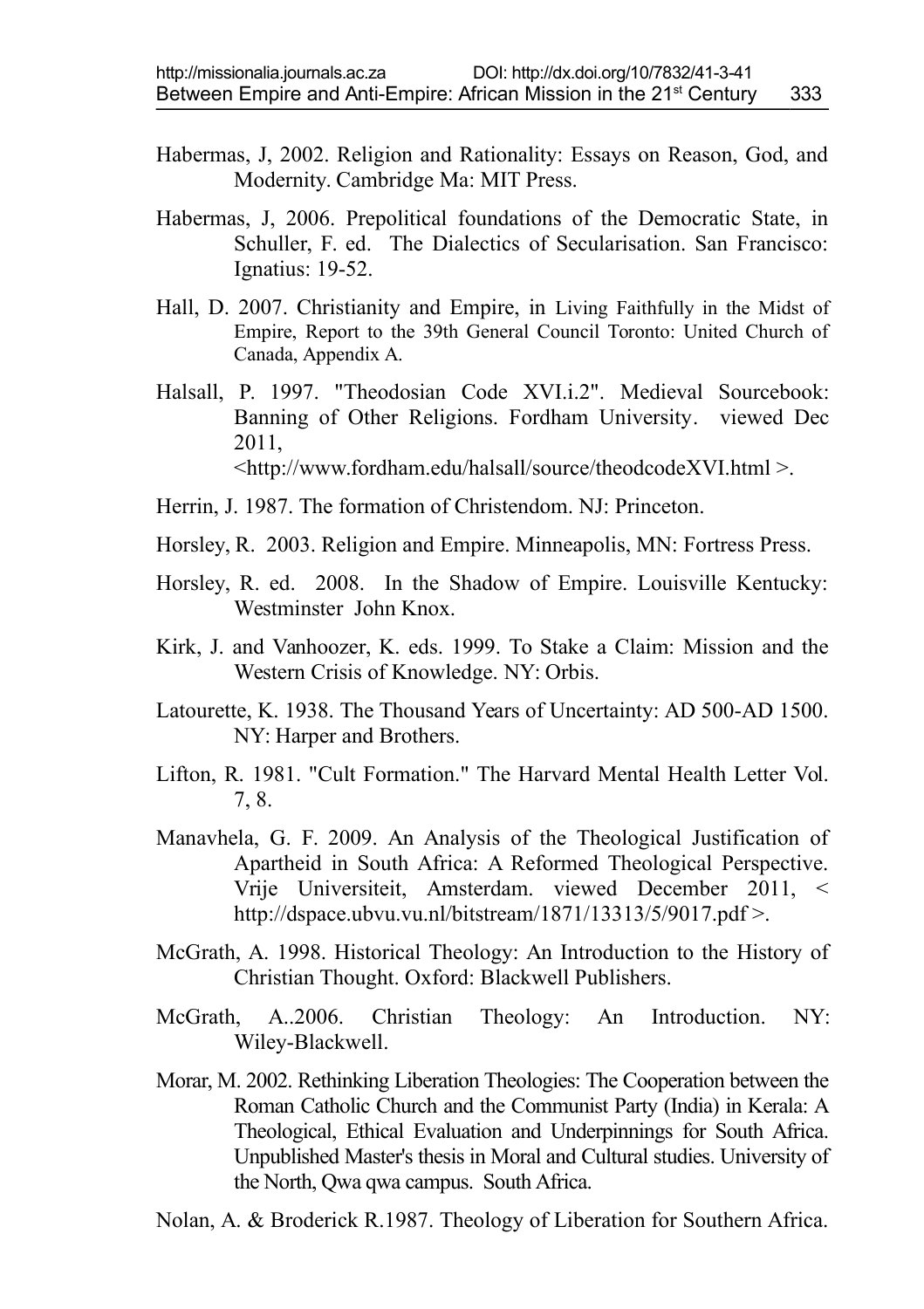- Habermas, J, 2002. Religion and Rationality: Essays on Reason, God, and Modernity. Cambridge Ma: MIT Press.
- Habermas, J, 2006. Prepolitical foundations of the Democratic State, in Schuller, F. ed. The Dialectics of Secularisation. San Francisco: Ignatius: 19-52.
- Hall, D. 2007. Christianity and Empire, in Living Faithfully in the Midst of Empire, Report to the 39th General Council Toronto: United Church of Canada, Appendix A.
- Halsall, P. 1997. "Theodosian Code XVI.i.2". Medieval Sourcebook: Banning of Other Religions. Fordham University. viewed Dec 2011, <http://www.fordham.edu/halsall/source/theodcodeXVI.html >.
- Herrin, J. 1987. The formation of Christendom. NJ: Princeton.
- Horsley, R. 2003. Religion and Empire. Minneapolis, MN: Fortress Press.
- Horsley, R. ed. 2008. In the Shadow of Empire. Louisville Kentucky: Westminster John Knox.
- Kirk, J. and Vanhoozer, K. eds. 1999. To Stake a Claim: Mission and the Western Crisis of Knowledge. NY: Orbis.
- Latourette, K. 1938. The Thousand Years of Uncertainty: AD 500-AD 1500. NY: Harper and Brothers.
- Lifton, R. 1981. "Cult Formation." The Harvard Mental Health Letter Vol. 7, 8.
- Manavhela, G. F. 2009. An Analysis of the Theological Justification of Apartheid in South Africa: A Reformed Theological Perspective. Vrije Universiteit, Amsterdam. viewed December 2011, < http://dspace.ubvu.vu.nl/bitstream/1871/13313/5/9017.pdf >.
- McGrath, A. 1998. Historical Theology: An Introduction to the History of Christian Thought. Oxford: Blackwell Publishers.
- McGrath, A..2006. Christian Theology: An Introduction. NY: Wiley-Blackwell.
- Morar, M. 2002. Rethinking Liberation Theologies: The Cooperation between the Roman Catholic Church and the Communist Party (India) in Kerala: A Theological, Ethical Evaluation and Underpinnings for South Africa. Unpublished Master's thesis in Moral and Cultural studies. University of the North, Qwa qwa campus. South Africa.
- Nolan, A. & Broderick R.1987. Theology of Liberation for Southern Africa.